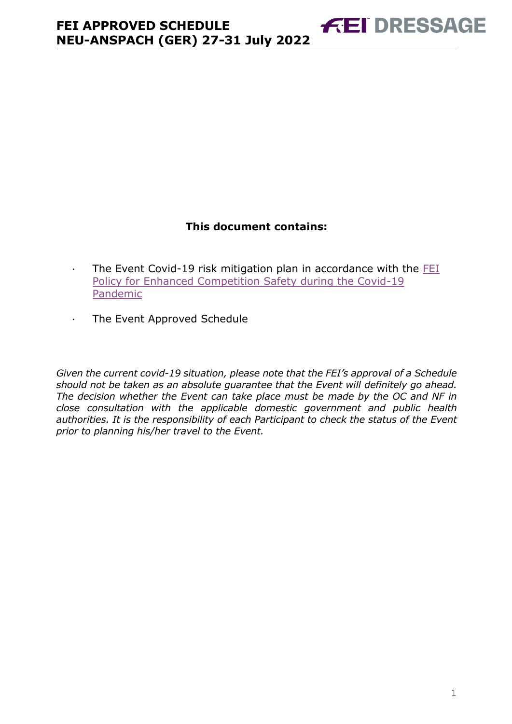#### **This document contains:**

**FEI DRESSAGE** 

- · The Event Covid-19 risk mitigation plan in accordance with the [FEI](https://inside.fei.org/fei/covid-19/return-to-play)  [Policy for Enhanced Competition Safety during the Covid-19](https://inside.fei.org/fei/covid-19/return-to-play)  [Pandemic](https://inside.fei.org/fei/covid-19/return-to-play)
- · The Event Approved Schedule

*Given the current covid-19 situation, please note that the FEI's approval of a Schedule should not be taken as an absolute guarantee that the Event will definitely go ahead. The decision whether the Event can take place must be made by the OC and NF in close consultation with the applicable domestic government and public health authorities. It is the responsibility of each Participant to check the status of the Event prior to planning his/her travel to the Event.*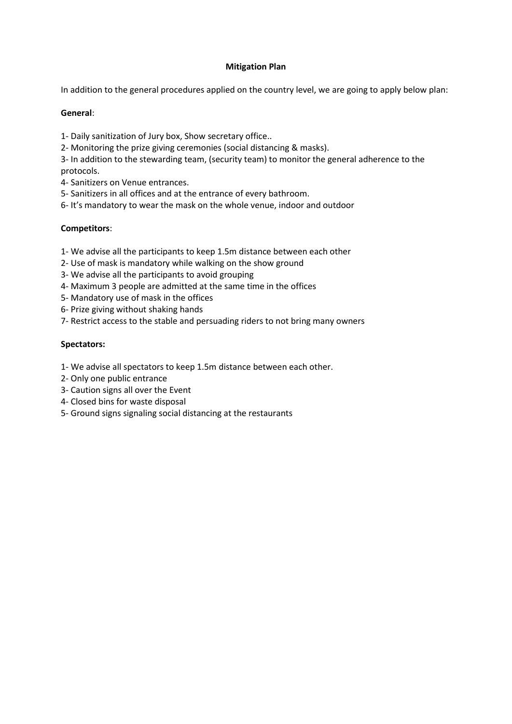#### **Mitigation Plan**

In addition to the general procedures applied on the country level, we are going to apply below plan:

#### **General**:

- 1- Daily sanitization of Jury box, Show secretary office..
- 2- Monitoring the prize giving ceremonies (social distancing & masks).
- 3- In addition to the stewarding team, (security team) to monitor the general adherence to the protocols.
- 4- Sanitizers on Venue entrances.
- 5- Sanitizers in all offices and at the entrance of every bathroom.
- 6- It's mandatory to wear the mask on the whole venue, indoor and outdoor

#### **Competitors**:

- 1- We advise all the participants to keep 1.5m distance between each other
- 2- Use of mask is mandatory while walking on the show ground
- 3- We advise all the participants to avoid grouping
- 4- Maximum 3 people are admitted at the same time in the offices
- 5- Mandatory use of mask in the offices
- 6- Prize giving without shaking hands
- 7- Restrict access to the stable and persuading riders to not bring many owners

#### **Spectators:**

- 1- We advise all spectators to keep 1.5m distance between each other.
- 2- Only one public entrance
- 3- Caution signs all over the Event
- 4- Closed bins for waste disposal
- 5- Ground signs signaling social distancing at the restaurants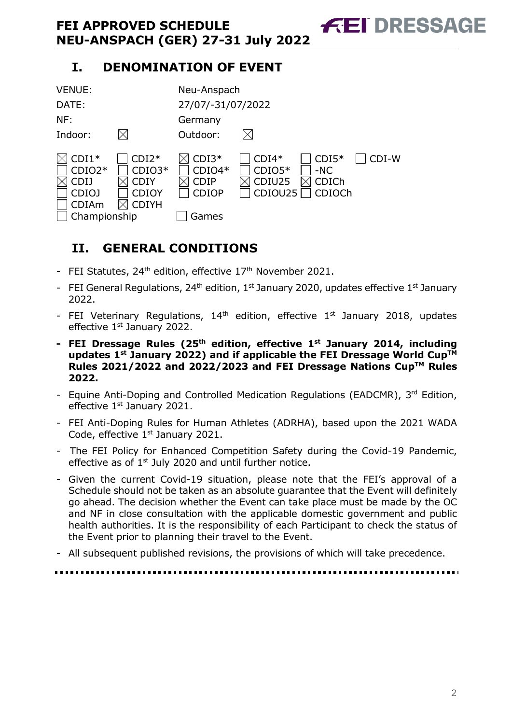# **I. DENOMINATION OF EVENT**



# <span id="page-2-0"></span>**II. GENERAL CONDITIONS**

- FEI Statutes,  $24<sup>th</sup>$  edition, effective  $17<sup>th</sup>$  November 2021.
- FEI General Regulations,  $24<sup>th</sup>$  edition,  $1<sup>st</sup>$  January 2020, updates effective  $1<sup>st</sup>$  January 2022.
- FEI Veterinary Regulations,  $14<sup>th</sup>$  edition, effective  $1<sup>st</sup>$  January 2018, updates effective 1<sup>st</sup> January 2022.
- **- FEI Dressage Rules (25 th edition, effective 1st January 2014, including updates 1 st January 2022) and if applicable the FEI Dressage World CupTM Rules 2021/2022 and 2022/2023 and FEI Dressage Nations CupTM Rules 2022.**
- Equine Anti-Doping and Controlled Medication Regulations (EADCMR), 3rd Edition, effective 1<sup>st</sup> January 2021.
- FEI Anti-Doping Rules for Human Athletes (ADRHA), based upon the 2021 WADA Code, effective 1<sup>st</sup> January 2021.
- The FEI Policy for Enhanced Competition Safety during the Covid-19 Pandemic, effective as of  $1<sup>st</sup>$  July 2020 and until further notice.
- Given the current Covid-19 situation, please note that the FEI's approval of a Schedule should not be taken as an absolute guarantee that the Event will definitely go ahead. The decision whether the Event can take place must be made by the OC and NF in close consultation with the applicable domestic government and public health authorities. It is the responsibility of each Participant to check the status of the Event prior to planning their travel to the Event.
- All subsequent published revisions, the provisions of which will take precedence.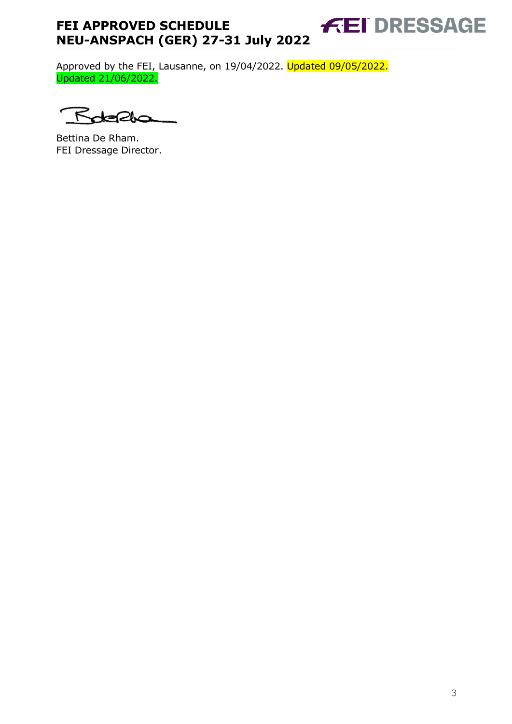#### **FEI DRESSAGE FEI APPROVED SCHEDULE NEU-ANSPACH (GER) 27-31 July 2022**

Approved by the FEI, Lausanne, on 19/04/2022. Updated 09/05/2022. Updated 21/06/2022.

 $\leq$ 

Bettina De Rham. FEI Dressage Director.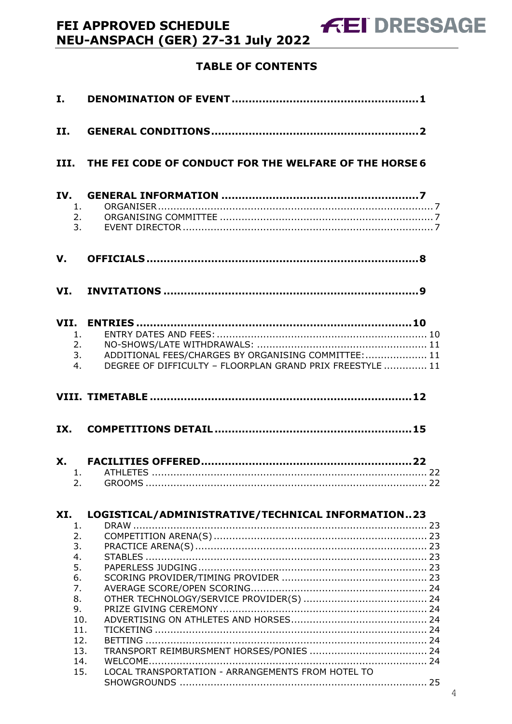# **TABLE OF CONTENTS**

| I.         |                                                                                              |                                                                                                                   |  |
|------------|----------------------------------------------------------------------------------------------|-------------------------------------------------------------------------------------------------------------------|--|
| <b>II.</b> |                                                                                              |                                                                                                                   |  |
|            |                                                                                              | III. THE FEI CODE OF CONDUCT FOR THE WELFARE OF THE HORSE 6                                                       |  |
| IV.        | 1.<br>2.<br>3.                                                                               |                                                                                                                   |  |
| V.         |                                                                                              |                                                                                                                   |  |
|            |                                                                                              |                                                                                                                   |  |
|            | 1.<br>2.<br>3.<br>4.                                                                         | ADDITIONAL FEES/CHARGES BY ORGANISING COMMITTEE:  11<br>DEGREE OF DIFFICULTY - FLOORPLAN GRAND PRIX FREESTYLE  11 |  |
|            |                                                                                              |                                                                                                                   |  |
| IX.        |                                                                                              |                                                                                                                   |  |
|            | 2.                                                                                           | 1. ATHLETES.                                                                                                      |  |
|            |                                                                                              |                                                                                                                   |  |
| XI.        |                                                                                              | LOGISTICAL/ADMINISTRATIVE/TECHNICAL INFORMATION23                                                                 |  |
|            | 1.<br>2.<br>3.<br>4.<br>5.<br>6.<br>7.<br>8.<br>9.<br>10.<br>11.<br>12.<br>13.<br>14.<br>15. | LOCAL TRANSPORTATION - ARRANGEMENTS FROM HOTEL TO                                                                 |  |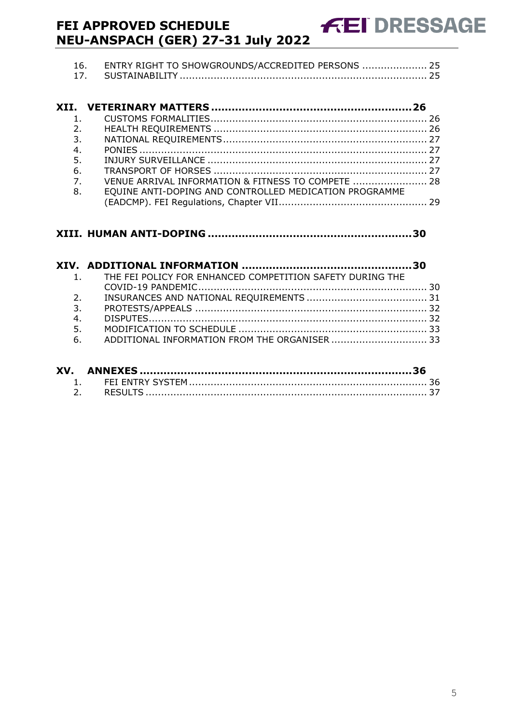| 16. ENTRY RIGHT TO SHOWGROUNDS/ACCREDITED PERSONS  25 |  |
|-------------------------------------------------------|--|
|                                                       |  |

**FEI DRESSAGE** 

| 2.             |                                                        |  |
|----------------|--------------------------------------------------------|--|
| 3.             |                                                        |  |
| 4.             |                                                        |  |
| 5.             |                                                        |  |
| 6.             |                                                        |  |
| 7 <sub>1</sub> | VENUE ARRIVAL INFORMATION & FITNESS TO COMPETE  28     |  |
| 8.             | EQUINE ANTI-DOPING AND CONTROLLED MEDICATION PROGRAMME |  |
|                |                                                        |  |
|                |                                                        |  |

#### **XIII. HUMAN ANTI-DOPING [............................................................30](#page-30-0)**

|                | 1. THE FEI POLICY FOR ENHANCED COMPETITION SAFETY DURING THE |  |
|----------------|--------------------------------------------------------------|--|
|                |                                                              |  |
| 2 <sub>1</sub> |                                                              |  |
| 3.             |                                                              |  |
| 4.             |                                                              |  |
| 5.             |                                                              |  |
|                | 6. ADDITIONAL INFORMATION FROM THE ORGANISER  33             |  |
|                |                                                              |  |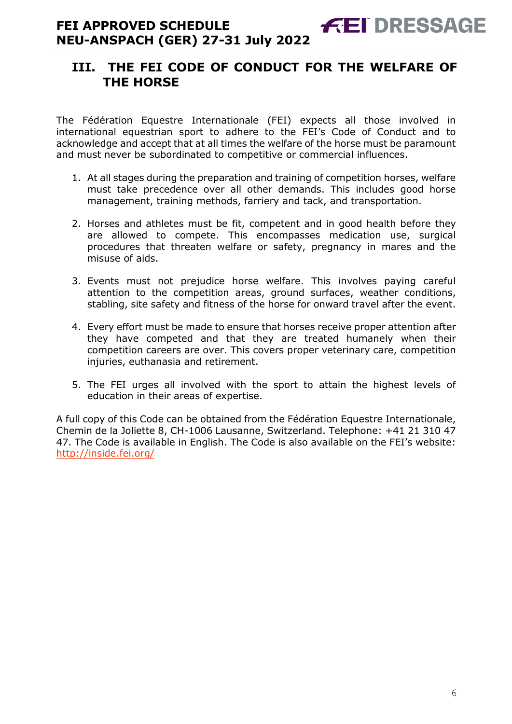## <span id="page-6-0"></span>**III. THE FEI CODE OF CONDUCT FOR THE WELFARE OF THE HORSE**

The Fédération Equestre Internationale (FEI) expects all those involved in international equestrian sport to adhere to the FEI's Code of Conduct and to acknowledge and accept that at all times the welfare of the horse must be paramount and must never be subordinated to competitive or commercial influences.

- 1. At all stages during the preparation and training of competition horses, welfare must take precedence over all other demands. This includes good horse management, training methods, farriery and tack, and transportation.
- 2. Horses and athletes must be fit, competent and in good health before they are allowed to compete. This encompasses medication use, surgical procedures that threaten welfare or safety, pregnancy in mares and the misuse of aids.
- 3. Events must not prejudice horse welfare. This involves paying careful attention to the competition areas, ground surfaces, weather conditions, stabling, site safety and fitness of the horse for onward travel after the event.
- 4. Every effort must be made to ensure that horses receive proper attention after they have competed and that they are treated humanely when their competition careers are over. This covers proper veterinary care, competition injuries, euthanasia and retirement.
- 5. The FEI urges all involved with the sport to attain the highest levels of education in their areas of expertise.

A full copy of this Code can be obtained from the Fédération Equestre Internationale, Chemin de la Joliette 8, CH-1006 Lausanne, Switzerland. Telephone: +41 21 310 47 47. The Code is available in English. The Code is also available on the FEI's website: <http://inside.fei.org/>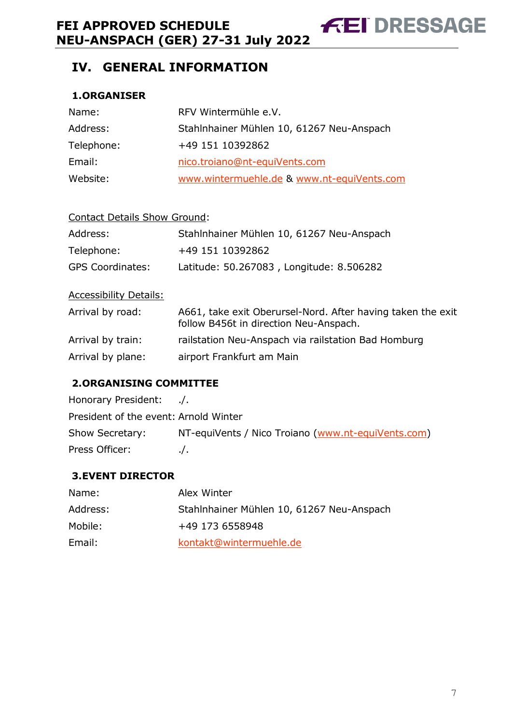**FEI DRESSAGE** 

# <span id="page-7-0"></span>**IV. GENERAL INFORMATION**

#### <span id="page-7-1"></span>**1.ORGANISER**

| Name:      | RFV Wintermühle e.V.                       |
|------------|--------------------------------------------|
| Address:   | Stahlnhainer Mühlen 10, 61267 Neu-Anspach  |
| Telephone: | +49 151 10392862                           |
| Email:     | nico.troiano@nt-equiVents.com              |
| Website:   | www.wintermuehle.de & www.nt-equiVents.com |

| <b>Contact Details Show Ground:</b> |                                                                                                       |  |  |  |  |
|-------------------------------------|-------------------------------------------------------------------------------------------------------|--|--|--|--|
| Address:                            | Stahlnhainer Mühlen 10, 61267 Neu-Anspach                                                             |  |  |  |  |
| Telephone:                          | +49 151 10392862                                                                                      |  |  |  |  |
| <b>GPS Coordinates:</b>             | Latitude: 50.267083, Longitude: 8.506282                                                              |  |  |  |  |
| <b>Accessibility Details:</b>       |                                                                                                       |  |  |  |  |
| Arrival by road:                    | A661, take exit Oberursel-Nord. After having taken the exit<br>follow B456t in direction Neu-Anspach. |  |  |  |  |
| Arrival by train:                   | railstation Neu-Anspach via railstation Bad Homburg                                                   |  |  |  |  |
| Arrival by plane:                   | airport Frankfurt am Main                                                                             |  |  |  |  |

#### <span id="page-7-2"></span>**2.ORGANISING COMMITTEE**

| Honorary President: /.                |                                                    |
|---------------------------------------|----------------------------------------------------|
| President of the event: Arnold Winter |                                                    |
| Show Secretary:                       | NT-equiVents / Nico Troiano (www.nt-equiVents.com) |
| Press Officer:                        | $\cdot$ .                                          |

#### <span id="page-7-3"></span>**3.EVENT DIRECTOR**

| Name:    | Alex Winter                               |
|----------|-------------------------------------------|
| Address: | Stahlnhainer Mühlen 10, 61267 Neu-Anspach |
| Mobile:  | +49 173 6558948                           |
| Email:   | kontakt@wintermuehle.de                   |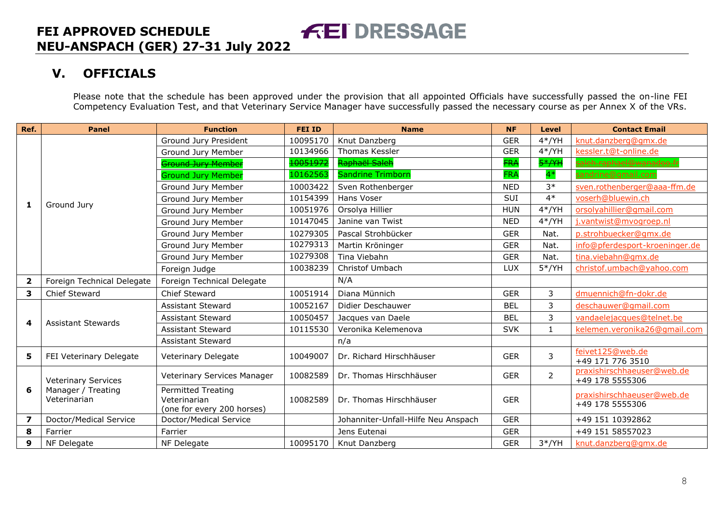# **V. OFFICIALS**

Please note that the schedule has been approved under the provision that all appointed Officials have successfully passed the on-line FEI Competency Evaluation Test, and that Veterinary Service Manager have successfully passed the necessary course as per Annex X of the VRs.

<span id="page-8-0"></span>

| Ref.                    | <b>Panel</b>                                                     | <b>Function</b>                           | <b>FEI ID</b> | <b>Name</b>                         | <b>NF</b>  | <b>Level</b>   | <b>Contact Email</b>                          |
|-------------------------|------------------------------------------------------------------|-------------------------------------------|---------------|-------------------------------------|------------|----------------|-----------------------------------------------|
|                         |                                                                  | Ground Jury President                     | 10095170      | Knut Danzberg                       | <b>GER</b> | $4*/YH$        | knut.danzberg@gmx.de                          |
|                         |                                                                  | Ground Jury Member                        | 10134966      | Thomas Kessler                      | <b>GER</b> | $4*/YH$        | kessler.t@t-online.de                         |
|                         |                                                                  | <b>Sround Jury Member</b>                 | 10051972      | Raphaël Saleh                       | <b>FRA</b> | $5*/YH$        | <u>saleh.raphael@wanadoo.fi</u>               |
|                         |                                                                  | <b>Ground Jury Member</b>                 | 10162563      | <b>Sandrine Trimborn</b>            | <b>FRA</b> | $4*$           | sandrine@gmail.com                            |
|                         |                                                                  | Ground Jury Member                        | 10003422      | Sven Rothenberger                   | <b>NED</b> | $3*$           | sven.rothenberger@aaa-ffm.de                  |
|                         |                                                                  | Ground Jury Member                        | 10154399      | Hans Voser                          | SUI        | $4*$           | voserh@bluewin.ch                             |
| 1                       | Ground Jury                                                      | Ground Jury Member                        | 10051976      | Orsolya Hillier                     | <b>HUN</b> | $4*/YH$        | orsolyahillier@gmail.com                      |
|                         |                                                                  | Ground Jury Member                        | 10147045      | Janine van Twist                    | <b>NED</b> | $4*/YH$        | j.vantwist@mvogroep.nl                        |
|                         |                                                                  | Ground Jury Member                        | 10279305      | Pascal Strohbücker                  | <b>GER</b> | Nat.           | p.strohbuecker@gmx.de                         |
|                         |                                                                  | Ground Jury Member                        | 10279313      | Martin Kröninger                    | <b>GER</b> | Nat.           | info@pferdesport-kroeninger.de                |
|                         |                                                                  | Ground Jury Member                        | 10279308      | Tina Viebahn                        | <b>GER</b> | Nat.           | tina.viebahn@qmx.de                           |
|                         |                                                                  | Foreign Judge                             | 10038239      | Christof Umbach                     | LUX        | $5*/YH$        | christof.umbach@yahoo.com                     |
| $\overline{\mathbf{2}}$ | Foreign Technical Delegate                                       | Foreign Technical Delegate                |               | N/A                                 |            |                |                                               |
| 3                       | Chief Steward                                                    | Chief Steward                             | 10051914      | Diana Münnich                       | <b>GER</b> | 3              | dmuennich@fn-dokr.de                          |
|                         | <b>Assistant Stewards</b>                                        | <b>Assistant Steward</b>                  | 10052167      | Didier Deschauwer                   | <b>BEL</b> | 3              | deschauwer@gmail.com                          |
| 4                       |                                                                  | <b>Assistant Steward</b>                  | 10050457      | Jacques van Daele                   | <b>BEL</b> | 3              | vandaelejacques@telnet.be                     |
|                         |                                                                  | <b>Assistant Steward</b>                  | 10115530      | Veronika Kelemenova                 | <b>SVK</b> | 1              | kelemen.veronika26@qmail.com                  |
|                         |                                                                  | <b>Assistant Steward</b>                  |               | n/a                                 |            |                |                                               |
| 5                       | FEI Veterinary Delegate                                          | Veterinary Delegate                       | 10049007      | Dr. Richard Hirschhäuser            | <b>GER</b> | 3              | feivet125@web.de                              |
|                         |                                                                  |                                           |               |                                     |            |                | +49 171 776 3510                              |
|                         | <b>Veterinary Services</b><br>Manager / Treating<br>Veterinarian | Veterinary Services Manager               | 10082589      | Dr. Thomas Hirschhäuser             | <b>GER</b> | $\overline{2}$ | praxishirschhaeuser@web.de<br>+49 178 5555306 |
| 6                       |                                                                  | <b>Permitted Treating</b><br>Veterinarian | 10082589      | Dr. Thomas Hirschhäuser             | <b>GER</b> |                | praxishirschhaeuser@web.de                    |
|                         |                                                                  | (one for every 200 horses)                |               |                                     |            |                | +49 178 5555306                               |
| $\overline{\mathbf{z}}$ | Doctor/Medical Service                                           | Doctor/Medical Service                    |               | Johanniter-Unfall-Hilfe Neu Anspach | <b>GER</b> |                | +49 151 10392862                              |
| 8                       | Farrier                                                          | Farrier                                   |               | Jens Eutenai                        | <b>GER</b> |                | +49 151 58557023                              |
| 9                       | NF Delegate                                                      | NF Delegate                               | 10095170      | Knut Danzberg                       | <b>GER</b> | $3*/YH$        | knut.danzberg@gmx.de                          |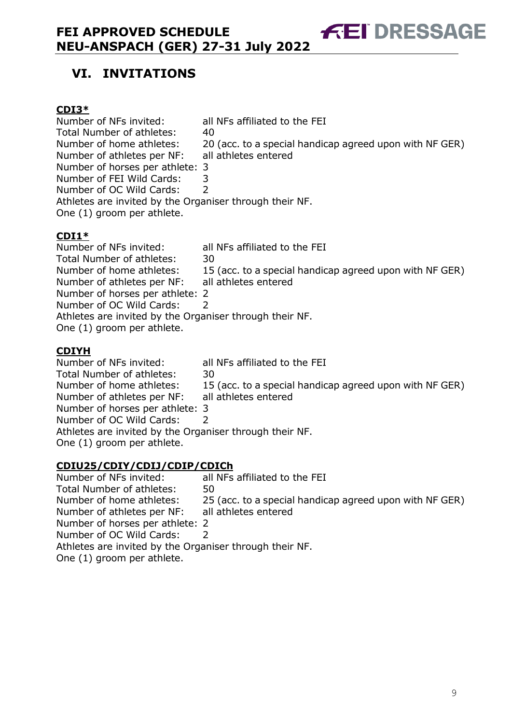# **FEI DRESSAGE**

# <span id="page-9-0"></span>**VI. INVITATIONS**

#### **CDI3\***

Number of NFs invited: all NFs affiliated to the FEI Total Number of athletes: 40 Number of home athletes: 20 (acc. to a special handicap agreed upon with NF GER) Number of athletes per NF: all athletes entered Number of horses per athlete: 3 Number of FEI Wild Cards: 3 Number of OC Wild Cards: 2 Athletes are invited by the Organiser through their NF. One (1) groom per athlete.

#### **CDI1\***

Number of NFs invited: all NFs affiliated to the FEI Total Number of athletes: 30 Number of home athletes: 15 (acc. to a special handicap agreed upon with NF GER) Number of athletes per NF: all athletes entered Number of horses per athlete: 2 Number of OC Wild Cards: 2 Athletes are invited by the Organiser through their NF. One (1) groom per athlete.

### **CDIYH**

Number of NFs invited: all NFs affiliated to the FEI Total Number of athletes: 30 Number of home athletes: 15 (acc. to a special handicap agreed upon with NF GER) Number of athletes per NF: all athletes entered Number of horses per athlete: 3 Number of OC Wild Cards: 2 Athletes are invited by the Organiser through their NF. One (1) groom per athlete.

# **CDIU25/CDIY/CDIJ/CDIP/CDICh**

all NFs affiliated to the FEI Total Number of athletes: 50 Number of home athletes: 25 (acc. to a special handicap agreed upon with NF GER) Number of athletes per NF: all athletes entered Number of horses per athlete: 2 Number of OC Wild Cards: 2 Athletes are invited by the Organiser through their NF. One (1) groom per athlete.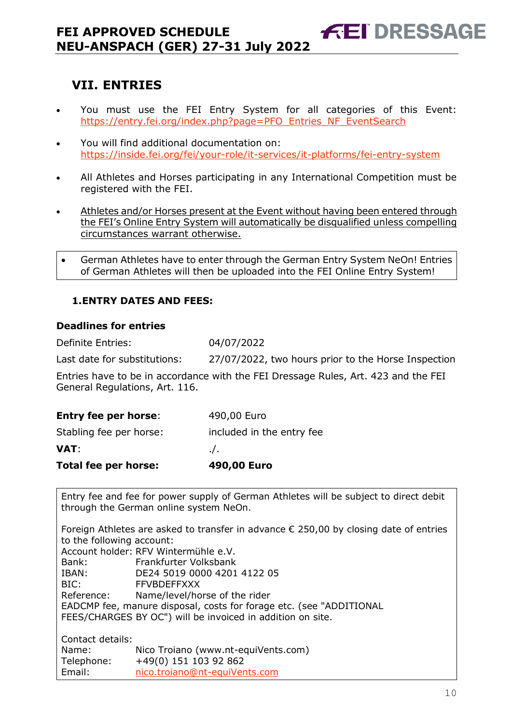# <span id="page-10-0"></span>**VII. ENTRIES**

 You must use the FEI Entry System for all categories of this Event: [https://entry.fei.org/index.php?page=PFO\\_Entries\\_NF\\_EventSearch](https://entry.fei.org/index.php?page=PFO_Entries_NF_EventSearch)

**FEI DRESSAGE** 

- You will find additional documentation on: <https://inside.fei.org/fei/your-role/it-services/it-platforms/fei-entry-system>
- All Athletes and Horses participating in any International Competition must be registered with the FEI.
- Athletes and/or Horses present at the Event without having been entered through the FEI's Online Entry System will automatically be disqualified unless compelling circumstances warrant otherwise.
- German Athletes have to enter through the German Entry System NeOn! Entries of German Athletes will then be uploaded into the FEI Online Entry System!

#### <span id="page-10-1"></span>**1.ENTRY DATES AND FEES:**

#### **Deadlines for entries**

Definite Entries: 04/07/2022

Last date for substitutions: 27/07/2022, two hours prior to the Horse Inspection

Entries have to be in accordance with the FEI Dressage Rules, Art. 423 and the FEI General Regulations, Art. 116.

| <b>Total fee per horse:</b> | 490,00 Euro               |
|-----------------------------|---------------------------|
| <b>VAT</b>                  | $\cdot$ .                 |
| Stabling fee per horse:     | included in the entry fee |
| <b>Entry fee per horse:</b> | 490,00 Euro               |

Entry fee and fee for power supply of German Athletes will be subject to direct debit through the German online system NeOn.

Foreign Athletes are asked to transfer in advance  $\epsilon$  250,00 by closing date of entries to the following account: Account holder: RFV Wintermühle e.V. Bank: Frankfurter Volksbank IBAN: DE24 5019 0000 4201 4122 05 BIC: FFVBDEFFXXX Reference: Name/level/horse of the rider EADCMP fee, manure disposal, costs for forage etc. (see "ADDITIONAL FEES/CHARGES BY OC") will be invoiced in addition on site. Contact details: Name: Nico Troiano (www.nt-equiVents.com) Telephone: +49(0) 151 103 92 862 Email: [nico.troiano@nt-equiVents.com](mailto:nico.troiano@nt-equiVents.com)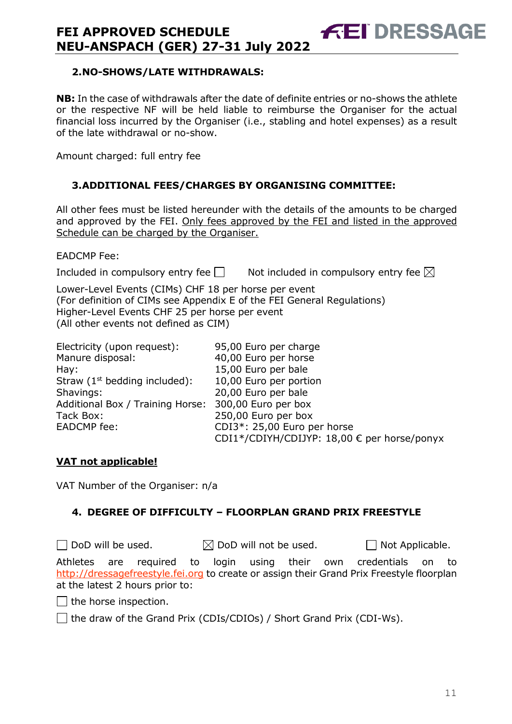#### <span id="page-11-0"></span>**2.NO-SHOWS/LATE WITHDRAWALS:**

**NB:** In the case of withdrawals after the date of definite entries or no-shows the athlete or the respective NF will be held liable to reimburse the Organiser for the actual financial loss incurred by the Organiser (i.e., stabling and hotel expenses) as a result of the late withdrawal or no-show.

**FEI DRESSAGE** 

Amount charged: full entry fee

#### <span id="page-11-1"></span>**3.ADDITIONAL FEES/CHARGES BY ORGANISING COMMITTEE:**

All other fees must be listed hereunder with the details of the amounts to be charged and approved by the FEI. Only fees approved by the FEI and listed in the approved Schedule can be charged by the Organiser.

EADCMP Fee:

Included in compulsory entry fee  $\Box$  Not included in compulsory entry fee  $\boxtimes$ 

Lower-Level Events (CIMs) CHF 18 per horse per event (For definition of CIMs see Appendix E of the FEI General Regulations) Higher-Level Events CHF 25 per horse per event (All other events not defined as CIM)

| Electricity (upon request):      | 95,00 Euro per charge                       |
|----------------------------------|---------------------------------------------|
| Manure disposal:                 | 40,00 Euro per horse                        |
| Hay:                             | 15,00 Euro per bale                         |
| Straw $(1st$ bedding included):  | 10,00 Euro per portion                      |
| Shavings:                        | 20,00 Euro per bale                         |
| Additional Box / Training Horse: | 300,00 Euro per box                         |
| Tack Box:                        | 250,00 Euro per box                         |
| <b>EADCMP</b> fee:               | CDI3*: 25,00 Euro per horse                 |
|                                  | CDI1*/CDIYH/CDIJYP: 18,00 € per horse/ponyx |

#### **VAT not applicable!**

VAT Number of the Organiser: n/a

#### <span id="page-11-2"></span>**4. DEGREE OF DIFFICULTY – FLOORPLAN GRAND PRIX FREESTYLE**

 $\Box$  DoD will be used.  $\boxtimes$  DoD will not be used.  $\Box$  Not Applicable. Athletes are required to login using their own credentials on to [http://dressagefreestyle.fei.org](http://dressagefreestyle.fei.org/) to create or assign their Grand Prix Freestyle floorplan at the latest 2 hours prior to:

 $\Box$  the horse inspection.

 $\Box$  the draw of the Grand Prix (CDIs/CDIOs) / Short Grand Prix (CDI-Ws).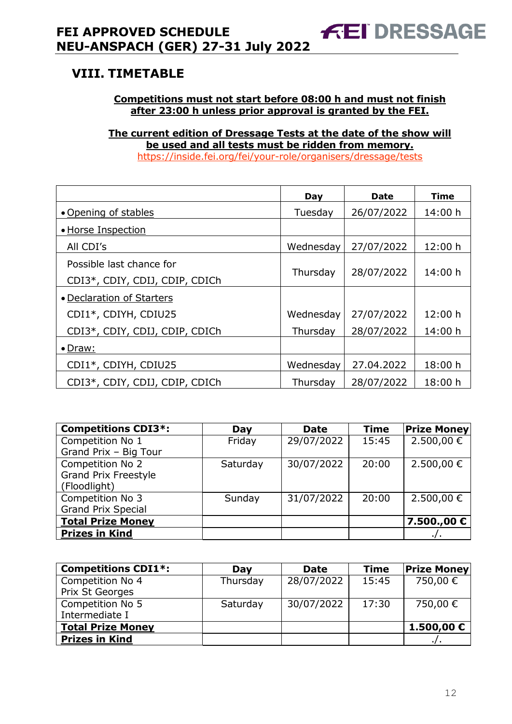# <span id="page-12-0"></span>**VIII. TIMETABLE**

#### **Competitions must not start before 08:00 h and must not finish after 23:00 h unless prior approval is granted by the FEI.**

**The current edition of Dressage Tests at the date of the show will be used and all tests must be ridden from memory.** <https://inside.fei.org/fei/your-role/organisers/dressage/tests>

|                                                            | Day       | <b>Date</b> | <b>Time</b> |
|------------------------------------------------------------|-----------|-------------|-------------|
| • Opening of stables                                       | Tuesday   | 26/07/2022  | 14:00 h     |
| · Horse Inspection                                         |           |             |             |
| All CDI's                                                  | Wednesday | 27/07/2022  | 12:00 h     |
| Possible last chance for<br>CDI3*, CDIY, CDIJ, CDIP, CDICh | Thursday  | 28/07/2022  | 14:00 h     |
| • Declaration of Starters                                  |           |             |             |
| CDI1*, CDIYH, CDIU25                                       | Wednesday | 27/07/2022  | 12:00 h     |
| CDI3*, CDIY, CDIJ, CDIP, CDICh                             | Thursday  | 28/07/2022  | 14:00 h     |
| • Draw:                                                    |           |             |             |
| CDI1*, CDIYH, CDIU25                                       | Wednesday | 27.04.2022  | 18:00 h     |
| CDI3*, CDIY, CDIJ, CDIP, CDICh                             | Thursday  | 28/07/2022  | 18:00 h     |

| <b>Competitions CDI3*:</b>  | Day      | <b>Date</b> | <b>Time</b> | <b>Prize Money</b> |
|-----------------------------|----------|-------------|-------------|--------------------|
| Competition No 1            | Friday   | 29/07/2022  | 15:45       | 2.500,00 €         |
| Grand Prix - Big Tour       |          |             |             |                    |
| Competition No 2            | Saturday | 30/07/2022  | 20:00       | 2.500,00 €         |
| <b>Grand Prix Freestyle</b> |          |             |             |                    |
| (Floodlight)                |          |             |             |                    |
| Competition No 3            | Sunday   | 31/07/2022  | 20:00       | 2.500,00 €         |
| <b>Grand Prix Special</b>   |          |             |             |                    |
| <b>Total Prize Money</b>    |          |             |             | 7.500.,00 €        |
| <b>Prizes in Kind</b>       |          |             |             |                    |

| <b>Competitions CDI1*:</b>          | Day      | <b>Date</b> | <b>Time</b> | <b>Prize Money</b> |
|-------------------------------------|----------|-------------|-------------|--------------------|
| Competition No 4<br>Prix St Georges | Thursday | 28/07/2022  | 15:45       | 750,00 €           |
| Competition No 5<br>Intermediate I  | Saturday | 30/07/2022  | 17:30       | 750,00 €           |
| <b>Total Prize Money</b>            |          |             |             | 1.500,00 €         |
| <b>Prizes in Kind</b>               |          |             |             |                    |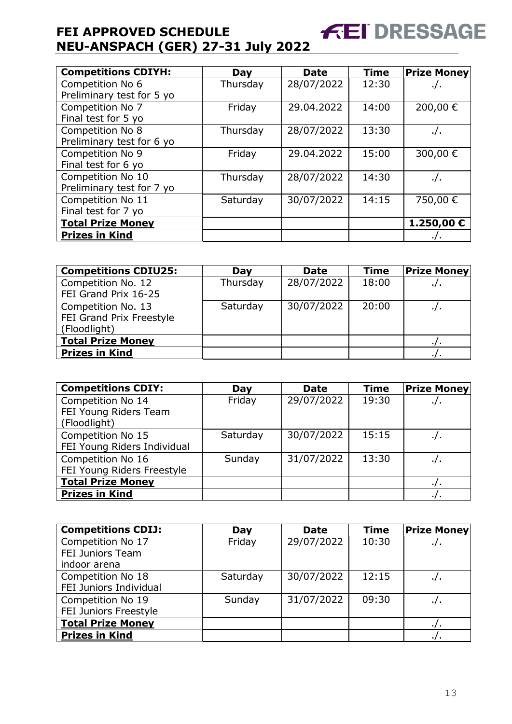| <b>Competitions CDIYH:</b> | Day      | <b>Date</b> | <b>Time</b> | <b>Prize Money</b> |
|----------------------------|----------|-------------|-------------|--------------------|
| Competition No 6           | Thursday | 28/07/2022  | 12:30       | . / .              |
| Preliminary test for 5 yo  |          |             |             |                    |
| Competition No 7           | Friday   | 29.04.2022  | 14:00       | 200,00€            |
| Final test for 5 yo        |          |             |             |                    |
| Competition No 8           | Thursday | 28/07/2022  | 13:30       | $\cdot$ /.         |
| Preliminary test for 6 yo  |          |             |             |                    |
| Competition No 9           | Friday   | 29.04.2022  | 15:00       | 300,00€            |
| Final test for 6 yo        |          |             |             |                    |
| Competition No 10          | Thursday | 28/07/2022  | 14:30       | ./.                |
| Preliminary test for 7 yo  |          |             |             |                    |
| Competition No 11          | Saturday | 30/07/2022  | 14:15       | 750,00 €           |
| Final test for 7 yo        |          |             |             |                    |
| <b>Total Prize Money</b>   |          |             |             | 1.250,00€          |
| <b>Prizes in Kind</b>      |          |             |             |                    |

**FEI DRESSAGE** 

| <b>Competitions CDIU25:</b>                                    | Day      | <b>Date</b> | <b>Time</b> | <b>Prize Money</b> |
|----------------------------------------------------------------|----------|-------------|-------------|--------------------|
| Competition No. 12<br>FEI Grand Prix 16-25                     | Thursday | 28/07/2022  | 18:00       | $\cdot$ / $\cdot$  |
| Competition No. 13<br>FEI Grand Prix Freestyle<br>(Floodlight) | Saturday | 30/07/2022  | 20:00       | $\cdot$ /.         |
| <b>Total Prize Money</b>                                       |          |             |             |                    |
| <b>Prizes in Kind</b>                                          |          |             |             |                    |

| <b>Competitions CDIY:</b>   | Day      | <b>Date</b> | <b>Time</b> | <b>Prize Money</b> |
|-----------------------------|----------|-------------|-------------|--------------------|
| Competition No 14           | Friday   | 29/07/2022  | 19:30       |                    |
| FEI Young Riders Team       |          |             |             |                    |
| (Floodlight)                |          |             |             |                    |
| Competition No 15           | Saturday | 30/07/2022  | 15:15       |                    |
| FEI Young Riders Individual |          |             |             |                    |
| Competition No 16           | Sunday   | 31/07/2022  | 13:30       |                    |
| FEI Young Riders Freestyle  |          |             |             |                    |
| <b>Total Prize Money</b>    |          |             |             |                    |
| <b>Prizes in Kind</b>       |          |             |             |                    |

| <b>Competitions CDIJ:</b> | Day      | <b>Date</b> | <b>Time</b> | <b>Prize Money</b> |
|---------------------------|----------|-------------|-------------|--------------------|
| Competition No 17         | Friday   | 29/07/2022  | 10:30       | $\cdot$ / $\cdot$  |
| FEI Juniors Team          |          |             |             |                    |
| indoor arena              |          |             |             |                    |
| Competition No 18         | Saturday | 30/07/2022  | 12:15       | $\cdot/\cdot$      |
| FEI Juniors Individual    |          |             |             |                    |
| Competition No 19         | Sunday   | 31/07/2022  | 09:30       |                    |
| FEI Juniors Freestyle     |          |             |             |                    |
| <b>Total Prize Money</b>  |          |             |             |                    |
| <b>Prizes in Kind</b>     |          |             |             |                    |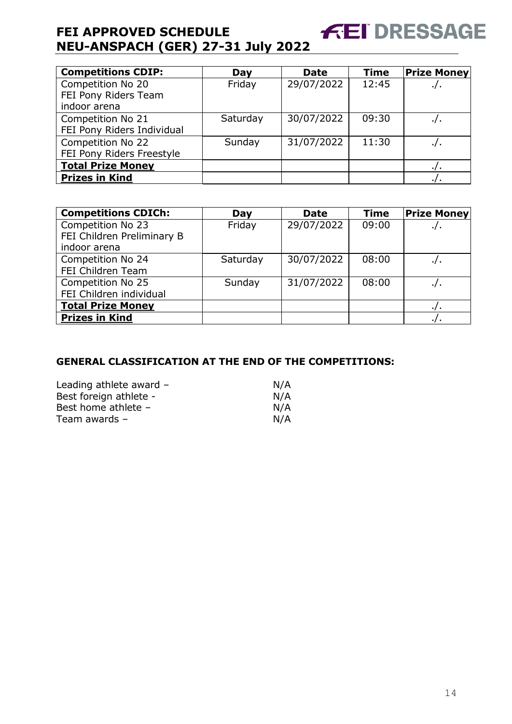| <b>Competitions CDIP:</b>                                 | Day      | <b>Date</b> | <b>Time</b> | <b>Prize Money</b> |
|-----------------------------------------------------------|----------|-------------|-------------|--------------------|
| Competition No 20<br>FEI Pony Riders Team<br>indoor arena | Friday   | 29/07/2022  | 12:45       | ٠/٠                |
| Competition No 21<br>FEI Pony Riders Individual           | Saturday | 30/07/2022  | 09:30       |                    |
| Competition No 22<br>FEI Pony Riders Freestyle            | Sunday   | 31/07/2022  | 11:30       |                    |
| <b>Total Prize Money</b>                                  |          |             |             |                    |
| <b>Prizes in Kind</b>                                     |          |             |             |                    |

| <b>Competitions CDICh:</b> | Day      | <b>Date</b> | <b>Time</b> | <b>Prize Money</b> |
|----------------------------|----------|-------------|-------------|--------------------|
| Competition No 23          | Friday   | 29/07/2022  | 09:00       | $\cdot$ /.         |
| FEI Children Preliminary B |          |             |             |                    |
| indoor arena               |          |             |             |                    |
| Competition No 24          | Saturday | 30/07/2022  | 08:00       | ./.                |
| FEI Children Team          |          |             |             |                    |
| Competition No 25          | Sunday   | 31/07/2022  | 08:00       |                    |
| FEI Children individual    |          |             |             |                    |
| <b>Total Prize Money</b>   |          |             |             |                    |
| <b>Prizes in Kind</b>      |          |             |             | .                  |

#### **GENERAL CLASSIFICATION AT THE END OF THE COMPETITIONS:**

| Leading athlete award $-$ | N/A |
|---------------------------|-----|
| Best foreign athlete -    | N/A |
| Best home athlete -       | N/A |
| Team awards $-$           | N/A |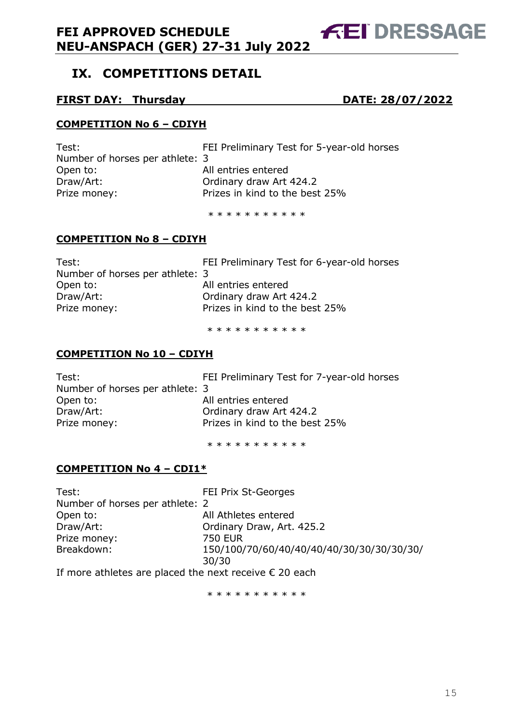# <span id="page-15-0"></span>**IX. COMPETITIONS DETAIL**

#### **FIRST DAY: Thursday DATE: 28/07/2022**

#### **COMPETITION No 6 – CDIYH**

| FEI Preliminary Test for 5-year-old horses |
|--------------------------------------------|
| Number of horses per athlete: 3            |
| All entries entered                        |
| Ordinary draw Art 424.2                    |
| Prizes in kind to the best 25%             |
|                                            |

\* \* \* \* \* \* \* \* \* \* \*

#### **COMPETITION No 8 – CDIYH**

| Test:                           | FEI Preliminary Test for 6-year-old horses |
|---------------------------------|--------------------------------------------|
| Number of horses per athlete: 3 |                                            |
| Open to:                        | All entries entered                        |
| Draw/Art:                       | Ordinary draw Art 424.2                    |
| Prize money:                    | Prizes in kind to the best 25%             |
|                                 |                                            |

\* \* \* \* \* \* \* \* \* \* \*

#### **COMPETITION No 10 – CDIYH**

| Test:                           | FEI Preliminary Test for 7-year-old horses |
|---------------------------------|--------------------------------------------|
| Number of horses per athlete: 3 |                                            |
| Open to:                        | All entries entered                        |
| Draw/Art:                       | Ordinary draw Art 424.2                    |
| Prize money:                    | Prizes in kind to the best 25%             |
|                                 |                                            |

\* \* \* \* \* \* \* \* \* \*

#### **COMPETITION No 4 – CDI1\***

| Test:                                                           | <b>FEI Prix St-Georges</b>                |
|-----------------------------------------------------------------|-------------------------------------------|
| Number of horses per athlete: 2                                 |                                           |
| Open to:                                                        | All Athletes entered                      |
| Draw/Art:                                                       | Ordinary Draw, Art. 425.2                 |
| Prize money:                                                    | 750 EUR                                   |
| Breakdown:                                                      | 150/100/70/60/40/40/40/40/30/30/30/30/30/ |
|                                                                 | 30/30                                     |
| If more athletes are placed the next receive $\epsilon$ 20 each |                                           |

If more athletes are placed the next receive  $\epsilon$  20 each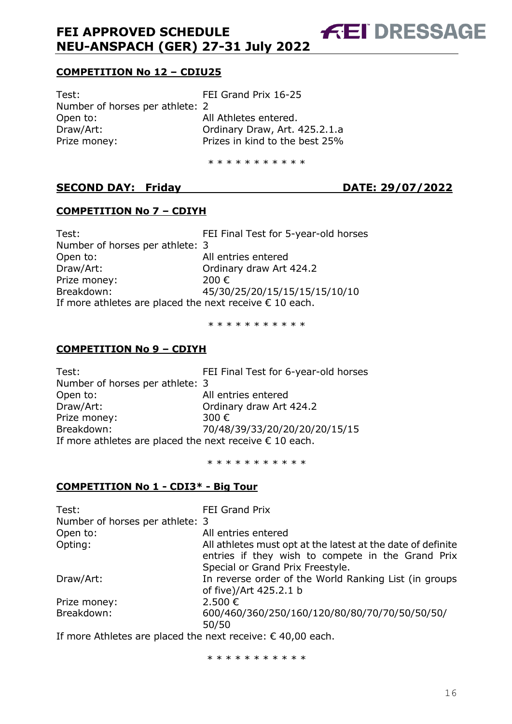**COMPETITION No 12 – CDIU25**

Test: Test: FEI Grand Prix 16-25 Number of horses per athlete: 2 Open to: All Athletes entered. Draw/Art: Ordinary Draw, Art. 425.2.1.a Prize money: Prizes in kind to the best 25%

\* \* \* \* \* \* \* \* \* \*

### **SECOND DAY: Friday DATE: 29/07/2022**

**FEI DRESSAGE** 

#### **COMPETITION No 7 – CDIYH**

Test: FEI Final Test for 5-year-old horses Number of horses per athlete: 3 Open to: All entries entered Draw/Art: Ordinary draw Art 424.2 Prize money: 200 € Breakdown: 45/30/25/20/15/15/15/15/10/10 If more athletes are placed the next receive  $\epsilon$  10 each.

\* \* \* \* \* \* \* \* \* \*

#### **COMPETITION No 9 – CDIYH**

| FEI Final Test for 6-year-old horses |
|--------------------------------------|
|                                      |
|                                      |
|                                      |
|                                      |
| 70/48/39/33/20/20/20/20/15/15        |
|                                      |
|                                      |

\* \* \* \* \* \* \* \* \* \* \*

#### **COMPETITION No 1 - CDI3\* - Big Tour**

| Test:                           | <b>FEI Grand Prix</b>                                                                                                                                |
|---------------------------------|------------------------------------------------------------------------------------------------------------------------------------------------------|
| Number of horses per athlete: 3 |                                                                                                                                                      |
| Open to:                        | All entries entered                                                                                                                                  |
| Opting:                         | All athletes must opt at the latest at the date of definite<br>entries if they wish to compete in the Grand Prix<br>Special or Grand Prix Freestyle. |
| Draw/Art:                       | In reverse order of the World Ranking List (in groups<br>of five)/Art 425.2.1 b                                                                      |
| Prize money:                    | 2.500€                                                                                                                                               |
| Breakdown:                      | 600/460/360/250/160/120/80/80/70/70/50/50/50/<br>50/50                                                                                               |

If more Athletes are placed the next receive: € 40,00 each.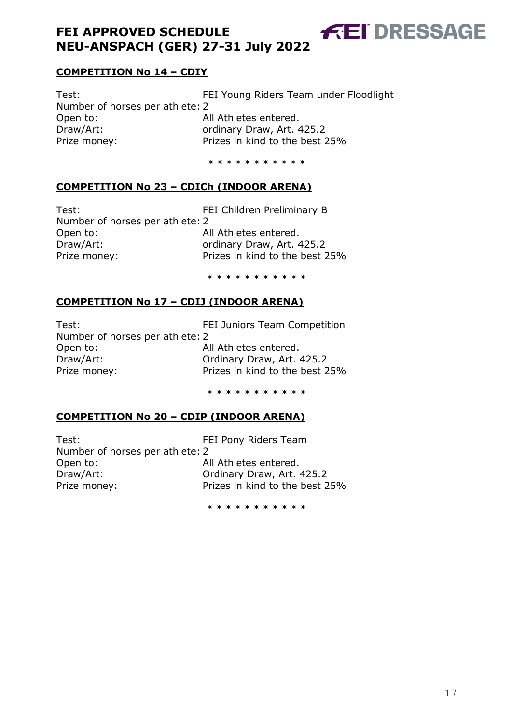#### **COMPETITION No 14 – CDIY**

Test: FEI Young Riders Team under Floodlight Number of horses per athlete: 2 Open to: All Athletes entered. Draw/Art: ordinary Draw, Art. 425.2 Prize money: Prizes in kind to the best 25%

\* \* \* \* \* \* \* \* \* \*

#### **COMPETITION No 23 – CDICh (INDOOR ARENA)**

Test: FEI Children Preliminary B Number of horses per athlete: 2 Open to: All Athletes entered. Draw/Art: **Draw/Art:** ordinary Draw, Art. 425.2 Prize money: Prizes in kind to the best 25%

**FEI DRESSAGE** 

\* \* \* \* \* \* \* \* \* \*

#### **COMPETITION No 17 – CDIJ (INDOOR ARENA)**

Test: FEI Juniors Team Competition Number of horses per athlete: 2 Open to: All Athletes entered. Draw/Art: Ordinary Draw, Art. 425.2 Prize money: Prizes in kind to the best 25%

\* \* \* \* \* \* \* \* \* \*

#### **COMPETITION No 20 – CDIP (INDOOR ARENA)**

Test: Test: FEI Pony Riders Team Number of horses per athlete: 2 Open to: All Athletes entered. Draw/Art: Ordinary Draw, Art. 425.2

Prize money: Prizes in kind to the best 25%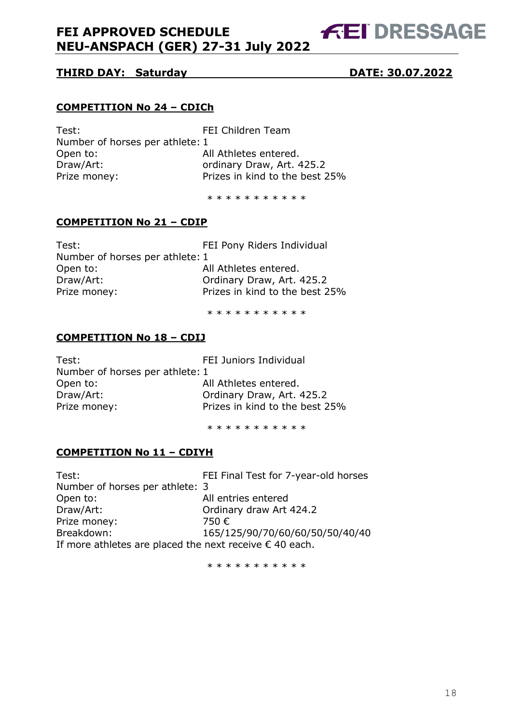# **FEI DRESSAGE**

#### **THIRD DAY: Saturday DATE: 30.07.2022**

#### **COMPETITION No 24 – CDICh**

| Test:                           | FEI Children Team              |
|---------------------------------|--------------------------------|
| Number of horses per athlete: 1 |                                |
| Open to:                        | All Athletes entered.          |
| Draw/Art:                       | ordinary Draw, Art. 425.2      |
| Prize money:                    | Prizes in kind to the best 25% |
|                                 |                                |

\* \* \* \* \* \* \* \* \* \* \*

#### **COMPETITION No 21 – CDIP**

| Test:                           | FEI Pony Riders Individual     |
|---------------------------------|--------------------------------|
| Number of horses per athlete: 1 |                                |
| Open to:                        | All Athletes entered.          |
| Draw/Art:                       | Ordinary Draw, Art. 425.2      |
| Prize money:                    | Prizes in kind to the best 25% |
|                                 |                                |

\* \* \* \* \* \* \* \* \* \* \*

#### **COMPETITION No 18 – CDIJ**

| Test:                           | <b>FEI Juniors Individual</b>  |
|---------------------------------|--------------------------------|
| Number of horses per athlete: 1 |                                |
| Open to:                        | All Athletes entered.          |
| Draw/Art:                       | Ordinary Draw, Art. 425.2      |
| Prize money:                    | Prizes in kind to the best 25% |
|                                 |                                |

\* \* \* \* \* \* \* \* \* \*

#### **COMPETITION No 11 – CDIYH**

Test: FEI Final Test for 7-year-old horses Number of horses per athlete: 3 Open to: All entries entered Draw/Art: Ordinary draw Art 424.2 Prize money: 750 € Breakdown: 165/125/90/70/60/60/50/50/40/40 If more athletes are placed the next receive  $\epsilon$  40 each.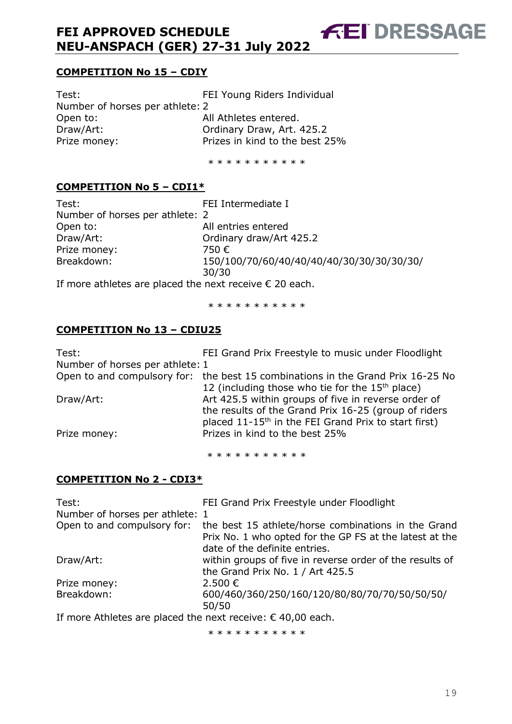**COMPETITION No 15 – CDIY**

Test: FEI Young Riders Individual Number of horses per athlete: 2 All Athletes entered. Draw/Art: Ordinary Draw, Art. 425.2 Prize money: Prizes in kind to the best 25%

\* \* \* \* \* \* \* \* \* \*

**FEI DRESSAGE** 

#### **COMPETITION No 5 – CDI1\***

| Test:                                                            | FEI Intermediate I                        |
|------------------------------------------------------------------|-------------------------------------------|
| Number of horses per athlete: 2                                  |                                           |
| Open to:                                                         | All entries entered                       |
| Draw/Art:                                                        | Ordinary draw/Art 425.2                   |
| Prize money:                                                     | 750 €                                     |
| Breakdown:                                                       | 150/100/70/60/40/40/40/40/30/30/30/30/30/ |
|                                                                  | 30/30                                     |
| If more athletes are placed the next receive $\epsilon$ 20 each. |                                           |

\* \* \* \* \* \* \* \* \* \*

#### **COMPETITION No 13 – CDIU25**

| Test:                           | FEI Grand Prix Freestyle to music under Floodlight                              |
|---------------------------------|---------------------------------------------------------------------------------|
| Number of horses per athlete: 1 |                                                                                 |
|                                 | Open to and compulsory for: the best 15 combinations in the Grand Prix 16-25 No |
|                                 | 12 (including those who tie for the $15th$ place)                               |
| Draw/Art:                       | Art 425.5 within groups of five in reverse order of                             |
|                                 | the results of the Grand Prix 16-25 (group of riders                            |
|                                 | placed 11-15 <sup>th</sup> in the FEI Grand Prix to start first)                |
| Prize money:                    | Prizes in kind to the best 25%                                                  |
|                                 |                                                                                 |

\* \* \* \* \* \* \* \* \* \* \*

#### **COMPETITION No 2 - CDI3\***

| Test:<br>Number of horses per athlete: 1                             | FEI Grand Prix Freestyle under Floodlight                |
|----------------------------------------------------------------------|----------------------------------------------------------|
| Open to and compulsory for:                                          | the best 15 athlete/horse combinations in the Grand      |
|                                                                      | Prix No. 1 who opted for the GP FS at the latest at the  |
|                                                                      | date of the definite entries.                            |
| Draw/Art:                                                            | within groups of five in reverse order of the results of |
|                                                                      | the Grand Prix No. 1 / Art 425.5                         |
| Prize money:                                                         | 2.500 €                                                  |
| Breakdown:                                                           | 600/460/360/250/160/120/80/80/70/70/50/50/50/            |
|                                                                      | 50/50                                                    |
| If more Athletes are placed the next receive: $\epsilon$ 40,00 each. |                                                          |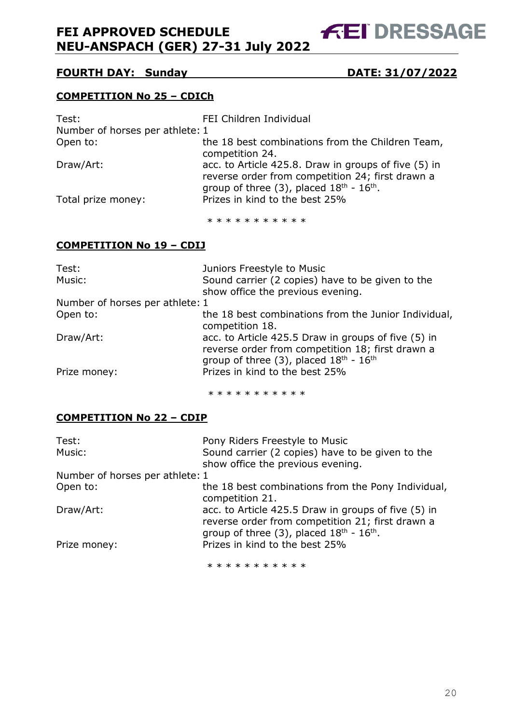**FEI DRESSAGE** 

#### **FOURTH DAY: Sunday DATE: 31/07/2022**

#### **COMPETITION No 25 – CDICh**

| Test:                           | FEI Children Individual                                                                                                                                                      |
|---------------------------------|------------------------------------------------------------------------------------------------------------------------------------------------------------------------------|
| Number of horses per athlete: 1 |                                                                                                                                                                              |
| Open to:                        | the 18 best combinations from the Children Team,<br>competition 24.                                                                                                          |
| Draw/Art:                       | acc. to Article 425.8. Draw in groups of five (5) in<br>reverse order from competition 24; first drawn a<br>group of three (3), placed $18^{\text{th}}$ - $16^{\text{th}}$ . |
| Total prize money:              | Prizes in kind to the best 25%                                                                                                                                               |

\* \* \* \* \* \* \* \* \* \*

#### **COMPETITION No 19 – CDIJ**

| Test:                           | Juniors Freestyle to Music                                                                                                                                                |
|---------------------------------|---------------------------------------------------------------------------------------------------------------------------------------------------------------------------|
| Music:                          | Sound carrier (2 copies) have to be given to the                                                                                                                          |
|                                 | show office the previous evening.                                                                                                                                         |
| Number of horses per athlete: 1 |                                                                                                                                                                           |
| Open to:                        | the 18 best combinations from the Junior Individual,<br>competition 18.                                                                                                   |
| Draw/Art:                       | acc. to Article 425.5 Draw in groups of five (5) in<br>reverse order from competition 18; first drawn a<br>group of three (3), placed $18^{\text{th}}$ - $16^{\text{th}}$ |
| Prize money:                    | Prizes in kind to the best 25%                                                                                                                                            |

\* \* \* \* \* \* \* \* \* \*

#### **COMPETITION No 22 – CDIP**

| Test:                           | Pony Riders Freestyle to Music                      |
|---------------------------------|-----------------------------------------------------|
| Music:                          | Sound carrier (2 copies) have to be given to the    |
|                                 | show office the previous evening.                   |
| Number of horses per athlete: 1 |                                                     |
| Open to:                        | the 18 best combinations from the Pony Individual,  |
|                                 | competition 21.                                     |
| Draw/Art:                       | acc. to Article 425.5 Draw in groups of five (5) in |
|                                 | reverse order from competition 21; first drawn a    |
|                                 | group of three $(3)$ , placed $18th - 16th$ .       |
| Prize money:                    | Prizes in kind to the best 25%                      |
|                                 |                                                     |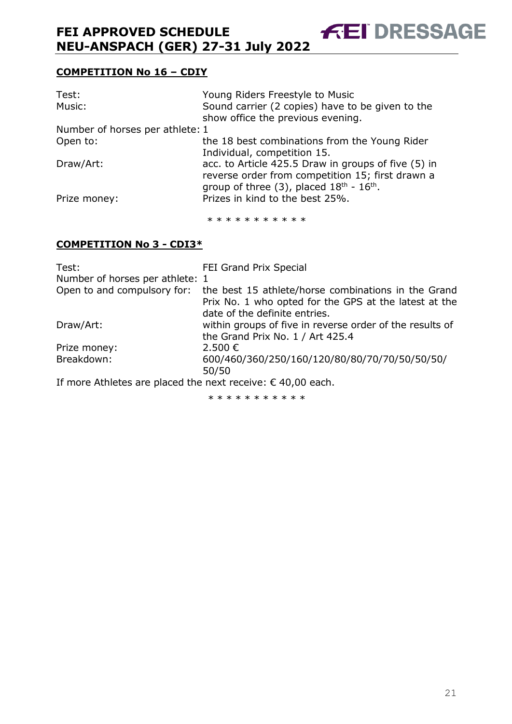#### **COMPETITION No 16 – CDIY**

| Test:                           | Young Riders Freestyle to Music                                                                                                                                                           |  |
|---------------------------------|-------------------------------------------------------------------------------------------------------------------------------------------------------------------------------------------|--|
| Music:                          | Sound carrier (2 copies) have to be given to the<br>show office the previous evening.                                                                                                     |  |
| Number of horses per athlete: 1 |                                                                                                                                                                                           |  |
| Open to:                        | the 18 best combinations from the Young Rider                                                                                                                                             |  |
| Draw/Art:                       | Individual, competition 15.<br>acc. to Article 425.5 Draw in groups of five (5) in<br>reverse order from competition 15; first drawn a<br>group of three $(3)$ , placed $18th$ - $16th$ . |  |
| Prize money:                    | Prizes in kind to the best 25%.                                                                                                                                                           |  |

**FEI DRESSAGE** 

\* \* \* \* \* \* \* \* \* \* \*

#### **COMPETITION No 3 - CDI3\***

| Test:                                                                | FEI Grand Prix Special                                                                                                                        |
|----------------------------------------------------------------------|-----------------------------------------------------------------------------------------------------------------------------------------------|
| Number of horses per athlete: 1                                      |                                                                                                                                               |
| Open to and compulsory for:                                          | the best 15 athlete/horse combinations in the Grand<br>Prix No. 1 who opted for the GPS at the latest at the<br>date of the definite entries. |
| Draw/Art:                                                            | within groups of five in reverse order of the results of                                                                                      |
|                                                                      | the Grand Prix No. 1 / Art 425.4                                                                                                              |
| Prize money:                                                         | 2.500€                                                                                                                                        |
| Breakdown:                                                           | 600/460/360/250/160/120/80/80/70/70/50/50/50/<br>50/50                                                                                        |
| If more Athletes are placed the next receive: $\epsilon$ 40,00 each. |                                                                                                                                               |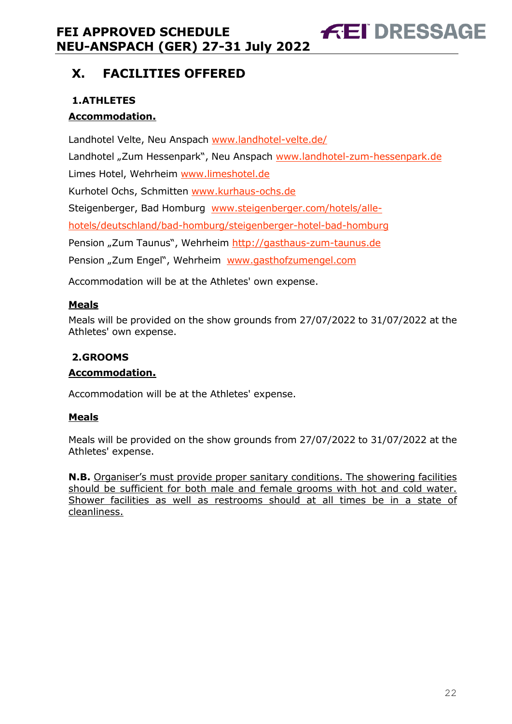# <span id="page-22-0"></span>**X. FACILITIES OFFERED**

### <span id="page-22-1"></span>**1.ATHLETES**

#### **Accommodation.**

Landhotel Velte, Neu Anspach [www.landhotel-velte.de/](http://www.landhotel-velte.de/) Landhotel "Zum Hessenpark", Neu Anspach [www.landhotel-zum-hessenpark.de](http://www.landhotel-zum-hessenpark.de/) Limes Hotel, Wehrheim [www.limeshotel.de](http://www.limeshotel.de/) Kurhotel Ochs, Schmitten [www.kurhaus-ochs.de](http://www.kurhaus-ochs.de/) Steigenberger, Bad Homburg [www.steigenberger.com/hotels/alle](http://www.steigenberger.com/hotels/alle-hotels/deutschland/bad-homburg/steigenberger-hotel-bad-homburg)[hotels/deutschland/bad-homburg/steigenberger-hotel-bad-homburg](http://www.steigenberger.com/hotels/alle-hotels/deutschland/bad-homburg/steigenberger-hotel-bad-homburg) Pension "Zum Taunus", Wehrheim [http://gasthaus-zum-taunus.de](http://gasthaus-zum-taunus.de/) Pension "Zum Engel", Wehrheim [www.gasthofzumengel.com](http://www.gasthofzumengel.com/)

**FEI DRESSAGE** 

Accommodation will be at the Athletes' own expense.

#### **Meals**

Meals will be provided on the show grounds from 27/07/2022 to 31/07/2022 at the Athletes' own expense.

#### <span id="page-22-2"></span>**2.GROOMS**

#### **Accommodation.**

Accommodation will be at the Athletes' expense.

#### **Meals**

Meals will be provided on the show grounds from 27/07/2022 to 31/07/2022 at the Athletes' expense.

**N.B.** Organiser's must provide proper sanitary conditions. The showering facilities should be sufficient for both male and female grooms with hot and cold water. Shower facilities as well as restrooms should at all times be in a state of cleanliness.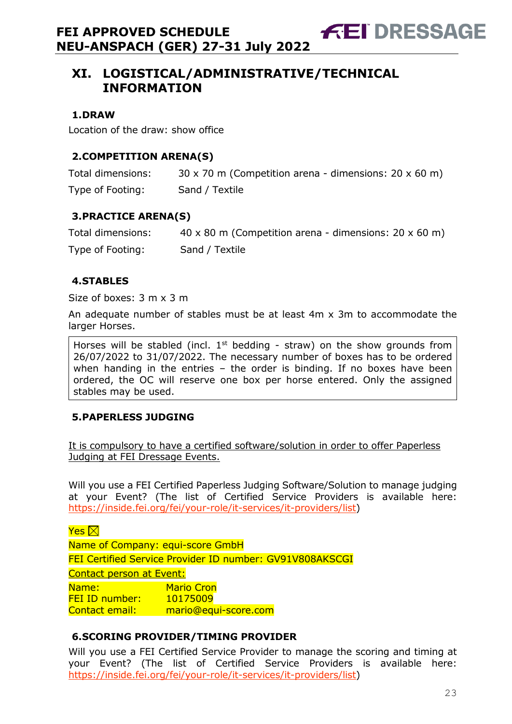**FEI DRESSAGE** 

#### <span id="page-23-1"></span><span id="page-23-0"></span>**1.DRAW**

Location of the draw: show office

#### <span id="page-23-2"></span>**2.COMPETITION ARENA(S)**

| Total dimensions: | $30 \times 70$ m (Competition arena - dimensions: 20 $\times$ 60 m) |
|-------------------|---------------------------------------------------------------------|
| Type of Footing:  | Sand / Textile                                                      |

#### <span id="page-23-3"></span>**3.PRACTICE ARENA(S)**

| Total dimensions: | $40 \times 80$ m (Competition arena - dimensions: 20 $\times$ 60 m) |
|-------------------|---------------------------------------------------------------------|
| Type of Footing:  | Sand / Textile                                                      |

#### <span id="page-23-4"></span>**4.STABLES**

Size of boxes: 3 m x 3 m

An adequate number of stables must be at least 4m x 3m to accommodate the larger Horses.

Horses will be stabled (incl.  $1<sup>st</sup>$  bedding - straw) on the show grounds from 26/07/2022 to 31/07/2022. The necessary number of boxes has to be ordered when handing in the entries – the order is binding. If no boxes have been ordered, the OC will reserve one box per horse entered. Only the assigned stables may be used.

#### <span id="page-23-5"></span>**5.PAPERLESS JUDGING**

It is compulsory to have a certified software/solution in order to offer Paperless Judging at FEI Dressage Events.

Will you use a FEI Certified Paperless Judging Software/Solution to manage judging at your Event? (The list of Certified Service Providers is available here: [https://inside.fei.org/fei/your-role/it-services/it-providers/list\)](https://inside.fei.org/fei/your-role/it-services/it-providers/list)

Yes  $\boxtimes$ 

Name of Company: equi-score GmbH FEI Certified Service Provider ID number: GV91V808AKSCGI Contact person at Event: Name: Mario Cron FEI ID number: 10175009 Contact email: mario@equi-score.com

#### <span id="page-23-6"></span>**6.SCORING PROVIDER/TIMING PROVIDER**

Will you use a FEI Certified Service Provider to manage the scoring and timing at your Event? (The list of Certified Service Providers is available here: [https://inside.fei.org/fei/your-role/it-services/it-providers/list\)](https://inside.fei.org/fei/your-role/it-services/it-providers/list)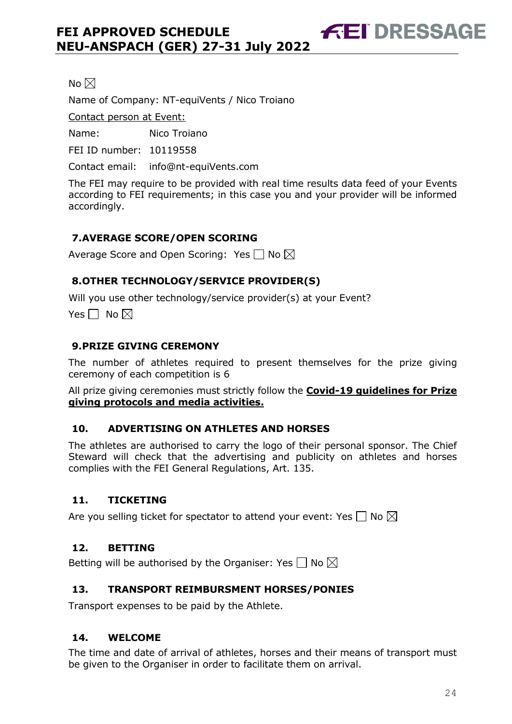No  $\boxtimes$ 

Name of Company: NT-equiVents / Nico Troiano

Contact person at Event:

Name: Nico Troiano

FEI ID number: 10119558

Contact email: info@nt-equiVents.com

The FEI may require to be provided with real time results data feed of your Events according to FEI requirements; in this case you and your provider will be informed accordingly.

**FEI DRESSAGE** 

#### <span id="page-24-0"></span>**7.AVERAGE SCORE/OPEN SCORING**

Average Score and Open Scoring: Yes  $\Box$  No  $\boxtimes$ 

#### <span id="page-24-1"></span>**8.OTHER TECHNOLOGY/SERVICE PROVIDER(S)**

Will you use other technology/service provider(s) at your Event?

Yes  $\Box$  No  $\boxtimes$ 

#### <span id="page-24-2"></span>**9.PRIZE GIVING CEREMONY**

The number of athletes required to present themselves for the prize giving ceremony of each competition is 6

All prize giving ceremonies must strictly follow the **Covid-19 guidelines for Prize giving protocols and media activities.**

#### <span id="page-24-3"></span>**10. ADVERTISING ON ATHLETES AND HORSES**

The athletes are authorised to carry the logo of their personal sponsor. The Chief Steward will check that the advertising and publicity on athletes and horses complies with the FEI General Regulations, Art. 135.

#### <span id="page-24-4"></span>**11. TICKETING**

Are you selling ticket for spectator to attend your event: Yes  $\Box$  No  $\boxtimes$ 

#### <span id="page-24-5"></span>**12. BETTING**

Betting will be authorised by the Organiser: Yes  $\Box$  No  $\boxtimes$ 

#### <span id="page-24-6"></span>**13. TRANSPORT REIMBURSMENT HORSES/PONIES**

Transport expenses to be paid by the Athlete.

#### <span id="page-24-7"></span>**14. WELCOME**

The time and date of arrival of athletes, horses and their means of transport must be given to the Organiser in order to facilitate them on arrival.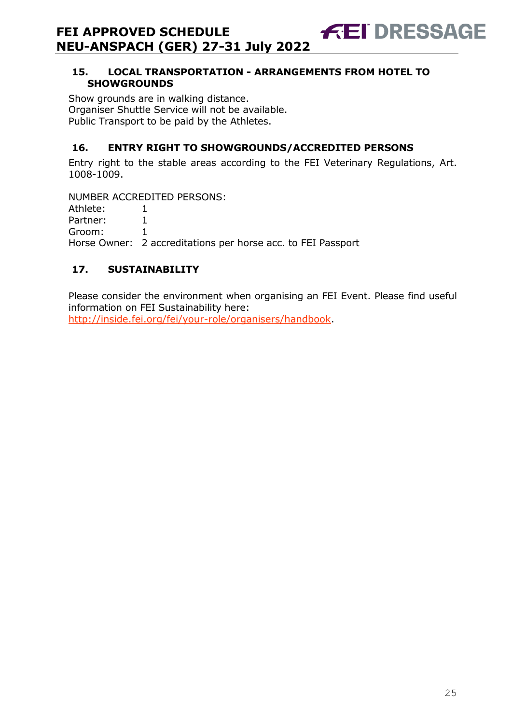#### <span id="page-25-0"></span>**15. LOCAL TRANSPORTATION - ARRANGEMENTS FROM HOTEL TO SHOWGROUNDS**

**FEI DRESSAGE** 

Show grounds are in walking distance. Organiser Shuttle Service will not be available. Public Transport to be paid by the Athletes.

### <span id="page-25-1"></span>**16. ENTRY RIGHT TO SHOWGROUNDS/ACCREDITED PERSONS**

Entry right to the stable areas according to the FEI Veterinary Regulations, Art. 1008-1009.

NUMBER ACCREDITED PERSONS:

| Athlete: |                                                              |
|----------|--------------------------------------------------------------|
| Partner: |                                                              |
| Groom:   |                                                              |
|          | Horse Owner: 2 accreditations per horse acc. to FEI Passport |

## <span id="page-25-2"></span>**17. SUSTAINABILITY**

Please consider the environment when organising an FEI Event. Please find useful information on FEI Sustainability here: [http://inside.fei.org/fei/your-role/organisers/handbook.](http://inside.fei.org/fei/your-role/organisers/handbook)

25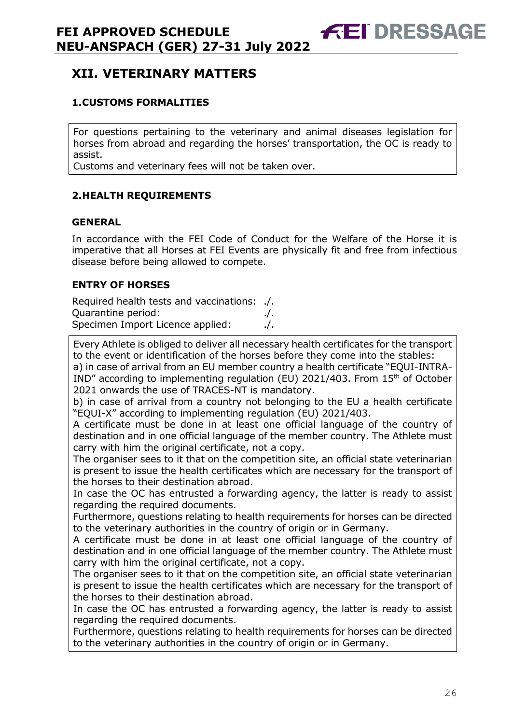# <span id="page-26-0"></span>**XII. VETERINARY MATTERS**

#### <span id="page-26-1"></span>**1.CUSTOMS FORMALITIES**

For questions pertaining to the veterinary and animal diseases legislation for horses from abroad and regarding the horses' transportation, the OC is ready to assist.

Customs and veterinary fees will not be taken over.

#### <span id="page-26-2"></span>**2.HEALTH REQUIREMENTS**

#### **GENERAL**

In accordance with the FEI Code of Conduct for the Welfare of the Horse it is imperative that all Horses at FEI Events are physically fit and free from infectious disease before being allowed to compete.

#### **ENTRY OF HORSES**

Required health tests and vaccinations: ./. Quarantine period: ./. Specimen Import Licence applied: . . . . . /.

Every Athlete is obliged to deliver all necessary health certificates for the transport to the event or identification of the horses before they come into the stables:

a) in case of arrival from an EU member country a health certificate "EQUI-INTRA-IND" according to implementing regulation (EU) 2021/403. From 15th of October 2021 onwards the use of TRACES-NT is mandatory.

b) in case of arrival from a country not belonging to the EU a health certificate "EQUI-X" according to implementing regulation (EU) 2021/403.

A certificate must be done in at least one official language of the country of destination and in one official language of the member country. The Athlete must carry with him the original certificate, not a copy.

The organiser sees to it that on the competition site, an official state veterinarian is present to issue the health certificates which are necessary for the transport of the horses to their destination abroad.

In case the OC has entrusted a forwarding agency, the latter is ready to assist regarding the required documents.

Furthermore, questions relating to health requirements for horses can be directed to the veterinary authorities in the country of origin or in Germany.

A certificate must be done in at least one official language of the country of destination and in one official language of the member country. The Athlete must carry with him the original certificate, not a copy.

The organiser sees to it that on the competition site, an official state veterinarian is present to issue the health certificates which are necessary for the transport of the horses to their destination abroad.

In case the OC has entrusted a forwarding agency, the latter is ready to assist regarding the required documents.

Furthermore, questions relating to health requirements for horses can be directed to the veterinary authorities in the country of origin or in Germany.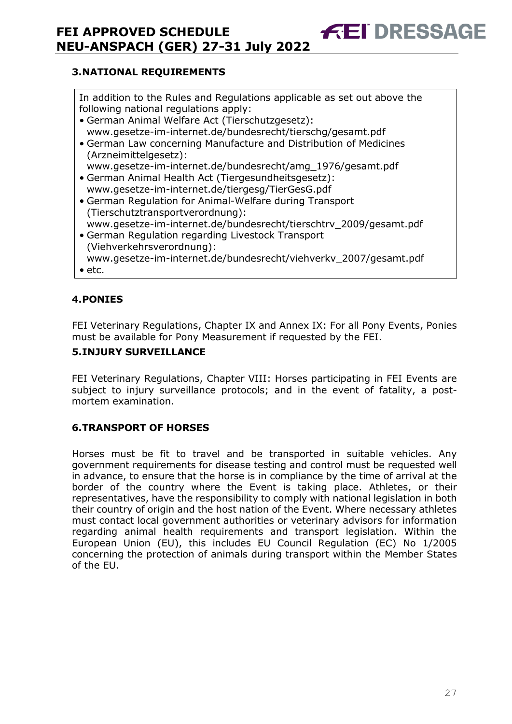#### <span id="page-27-0"></span>**3.NATIONAL REQUIREMENTS**

In addition to the Rules and Regulations applicable as set out above the following national regulations apply:

**FEI DRESSA** 

- German Animal Welfare Act (Tierschutzgesetz): www.gesetze-im-internet.de/bundesrecht/tierschg/gesamt.pdf
- German Law concerning Manufacture and Distribution of Medicines (Arzneimittelgesetz): www.gesetze-im-internet.de/bundesrecht/amg\_1976/gesamt.pdf
- German Animal Health Act (Tiergesundheitsgesetz): www.gesetze-im-internet.de/tiergesg/TierGesG.pdf
- German Regulation for Animal-Welfare during Transport (Tierschutztransportverordnung):
- www.gesetze-im-internet.de/bundesrecht/tierschtrv\_2009/gesamt.pdf • German Regulation regarding Livestock Transport (Viehverkehrsverordnung):
- www.gesetze-im-internet.de/bundesrecht/viehverkv\_2007/gesamt.pdf
- etc.

#### <span id="page-27-1"></span>**4.PONIES**

FEI Veterinary Regulations, Chapter IX and Annex IX: For all Pony Events, Ponies must be available for Pony Measurement if requested by the FEI.

#### <span id="page-27-2"></span>**5.INJURY SURVEILLANCE**

FEI Veterinary Regulations, Chapter VIII: Horses participating in FEI Events are subject to injury surveillance protocols; and in the event of fatality, a postmortem examination.

#### <span id="page-27-3"></span>**6.TRANSPORT OF HORSES**

Horses must be fit to travel and be transported in suitable vehicles. Any government requirements for disease testing and control must be requested well in advance, to ensure that the horse is in compliance by the time of arrival at the border of the country where the Event is taking place. Athletes, or their representatives, have the responsibility to comply with national legislation in both their country of origin and the host nation of the Event. Where necessary athletes must contact local government authorities or veterinary advisors for information regarding animal health requirements and transport legislation. Within the European Union (EU), this includes EU Council Regulation (EC) No 1/2005 concerning the protection of animals during transport within the Member States of the EU.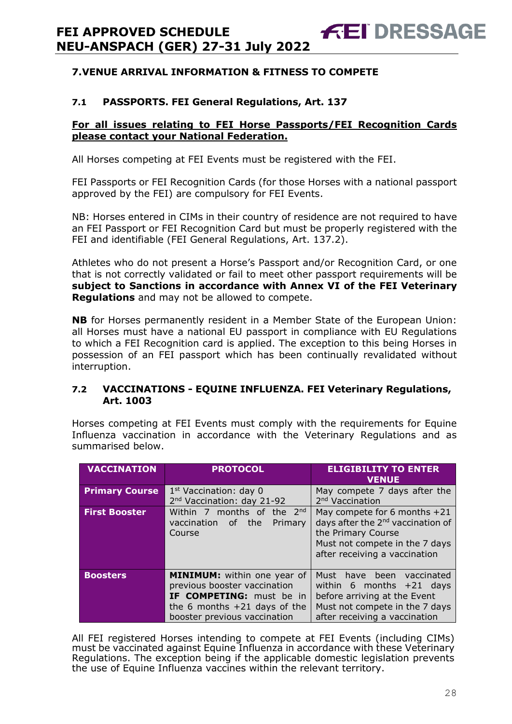#### <span id="page-28-0"></span>**7.1 PASSPORTS. FEI General Regulations, Art. 137**

#### **For all issues relating to FEI Horse Passports/FEI Recognition Cards please contact your National Federation.**

**FEI DRESSAGE** 

All Horses competing at FEI Events must be registered with the FEI.

FEI Passports or FEI Recognition Cards (for those Horses with a national passport approved by the FEI) are compulsory for FEI Events.

NB: Horses entered in CIMs in their country of residence are not required to have an FEI Passport or FEI Recognition Card but must be properly registered with the FEI and identifiable (FEI General Regulations, Art. 137.2).

Athletes who do not present a Horse's Passport and/or Recognition Card, or one that is not correctly validated or fail to meet other passport requirements will be **subject to Sanctions in accordance with Annex VI of the FEI Veterinary Regulations** and may not be allowed to compete.

**NB** for Horses permanently resident in a Member State of the European Union: all Horses must have a national EU passport in compliance with EU Regulations to which a FEI Recognition card is applied. The exception to this being Horses in possession of an FEI passport which has been continually revalidated without interruption.

#### **7.2 VACCINATIONS - EQUINE INFLUENZA. FEI Veterinary Regulations, Art. 1003**

Horses competing at FEI Events must comply with the requirements for Equine Influenza vaccination in accordance with the Veterinary Regulations and as summarised below.

| <b>VACCINATION</b>    | <b>PROTOCOL</b>                                                                                                                                                  | <b>ELIGIBILITY TO ENTER</b><br><b>VENUE</b>                                                                                                                              |
|-----------------------|------------------------------------------------------------------------------------------------------------------------------------------------------------------|--------------------------------------------------------------------------------------------------------------------------------------------------------------------------|
| <b>Primary Course</b> | $1st$ Vaccination: day 0<br>2 <sup>nd</sup> Vaccination: day 21-92                                                                                               | May compete 7 days after the<br>2 <sup>nd</sup> Vaccination                                                                                                              |
| <b>First Booster</b>  | Within 7 months of the 2nd<br>vaccination of the<br>Primary<br>Course                                                                                            | May compete for 6 months $+21$<br>days after the 2 <sup>nd</sup> vaccination of<br>the Primary Course<br>Must not compete in the 7 days<br>after receiving a vaccination |
| <b>Boosters</b>       | <b>MINIMUM:</b> within one year of<br>previous booster vaccination<br>IF COMPETING: must be in<br>the 6 months $+21$ days of the<br>booster previous vaccination | Must have been<br>vaccinated<br>within 6 months $+21$ days<br>before arriving at the Event<br>Must not compete in the 7 days<br>after receiving a vaccination            |

All FEI registered Horses intending to compete at FEI Events (including CIMs) must be vaccinated against Equine Influenza in accordance with these Veterinary Regulations. The exception being if the applicable domestic legislation prevents the use of Equine Influenza vaccines within the relevant territory.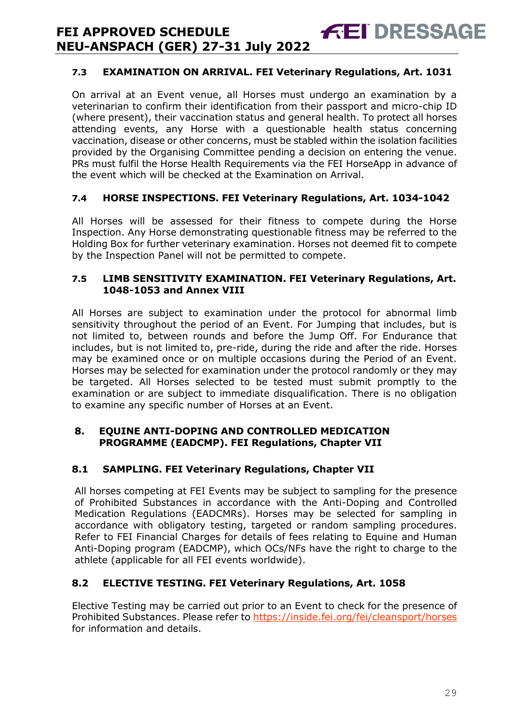#### **7.3 EXAMINATION ON ARRIVAL. FEI Veterinary Regulations, Art. 1031**

**FEI DRESSAGE** 

On arrival at an Event venue, all Horses must undergo an examination by a veterinarian to confirm their identification from their passport and micro-chip ID (where present), their vaccination status and general health. To protect all horses attending events, any Horse with a questionable health status concerning vaccination, disease or other concerns, must be stabled within the isolation facilities provided by the Organising Committee pending a decision on entering the venue. PRs must fulfil the Horse Health Requirements via the FEI HorseApp in advance of the event which will be checked at the Examination on Arrival.

#### **7.4 HORSE INSPECTIONS. FEI Veterinary Regulations, Art. 1034-1042**

All Horses will be assessed for their fitness to compete during the Horse Inspection. Any Horse demonstrating questionable fitness may be referred to the Holding Box for further veterinary examination. Horses not deemed fit to compete by the Inspection Panel will not be permitted to compete.

#### **7.5 LIMB SENSITIVITY EXAMINATION. FEI Veterinary Regulations, Art. 1048-1053 and Annex VIII**

All Horses are subject to examination under the protocol for abnormal limb sensitivity throughout the period of an Event. For Jumping that includes, but is not limited to, between rounds and before the Jump Off. For Endurance that includes, but is not limited to, pre-ride, during the ride and after the ride. Horses may be examined once or on multiple occasions during the Period of an Event. Horses may be selected for examination under the protocol randomly or they may be targeted. All Horses selected to be tested must submit promptly to the examination or are subject to immediate disqualification. There is no obligation to examine any specific number of Horses at an Event.

#### <span id="page-29-0"></span>**8. EQUINE ANTI-DOPING AND CONTROLLED MEDICATION PROGRAMME (EADCMP). FEI Regulations, Chapter VII**

#### **8.1 SAMPLING. FEI Veterinary Regulations, Chapter VII**

All horses competing at FEI Events may be subject to sampling for the presence of Prohibited Substances in accordance with the Anti-Doping and Controlled Medication Regulations (EADCMRs). Horses may be selected for sampling in accordance with obligatory testing, targeted or random sampling procedures. Refer to FEI Financial Charges for details of fees relating to Equine and Human Anti-Doping program (EADCMP), which OCs/NFs have the right to charge to the athlete (applicable for all FEI events worldwide).

#### **8.2 ELECTIVE TESTING. FEI Veterinary Regulations, Art. 1058**

Elective Testing may be carried out prior to an Event to check for the presence of Prohibited Substances. Please refer to https://inside.fei.org/fei/cleansport/horses for information and details.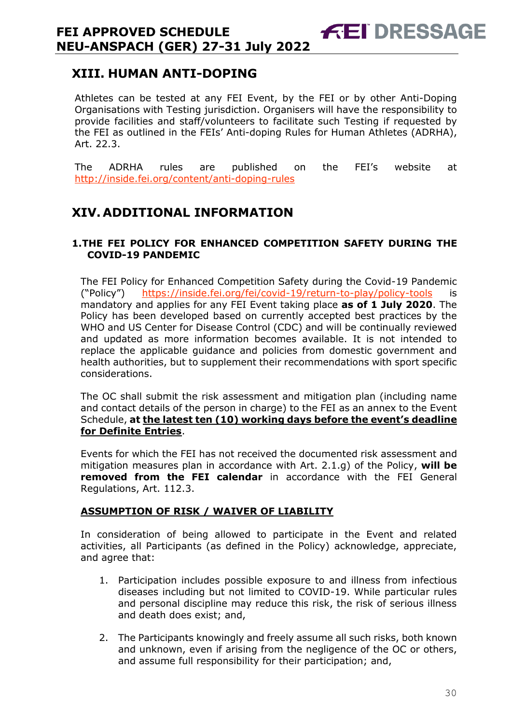# <span id="page-30-0"></span>**XIII. HUMAN ANTI-DOPING**

Athletes can be tested at any FEI Event, by the FEI or by other Anti-Doping Organisations with Testing jurisdiction. Organisers will have the responsibility to provide facilities and staff/volunteers to facilitate such Testing if requested by the FEI as outlined in the FEIs' Anti-doping Rules for Human Athletes (ADRHA), Art. 22.3.

**FEI DRESSAGE** 

The ADRHA rules are published on the FEI's website at <http://inside.fei.org/content/anti-doping-rules>

# <span id="page-30-1"></span>**XIV. ADDITIONAL INFORMATION**

#### <span id="page-30-2"></span>**1.THE FEI POLICY FOR ENHANCED COMPETITION SAFETY DURING THE COVID-19 PANDEMIC**

The FEI Policy for Enhanced Competition Safety during the Covid-19 Pandemic ("Policy") <https://inside.fei.org/fei/covid-19/return-to-play/policy-tools> is mandatory and applies for any FEI Event taking place **as of 1 July 2020**. The Policy has been developed based on currently accepted best practices by the WHO and US Center for Disease Control (CDC) and will be continually reviewed and updated as more information becomes available. It is not intended to replace the applicable guidance and policies from domestic government and health authorities, but to supplement their recommendations with sport specific considerations.

The OC shall submit the risk assessment and mitigation plan (including name and contact details of the person in charge) to the FEI as an annex to the Event Schedule, **at the latest ten (10) working days before the event's deadline for Definite Entries**.

Events for which the FEI has not received the documented risk assessment and mitigation measures plan in accordance with Art. 2.1.g) of the Policy, **will be removed from the FEI calendar** in accordance with the FEI General Regulations, Art. 112.3.

#### **ASSUMPTION OF RISK / WAIVER OF LIABILITY**

In consideration of being allowed to participate in the Event and related activities, all Participants (as defined in the Policy) acknowledge, appreciate, and agree that:

- 1. Participation includes possible exposure to and illness from infectious diseases including but not limited to COVID-19. While particular rules and personal discipline may reduce this risk, the risk of serious illness and death does exist; and,
- 2. The Participants knowingly and freely assume all such risks, both known and unknown, even if arising from the negligence of the OC or others, and assume full responsibility for their participation; and,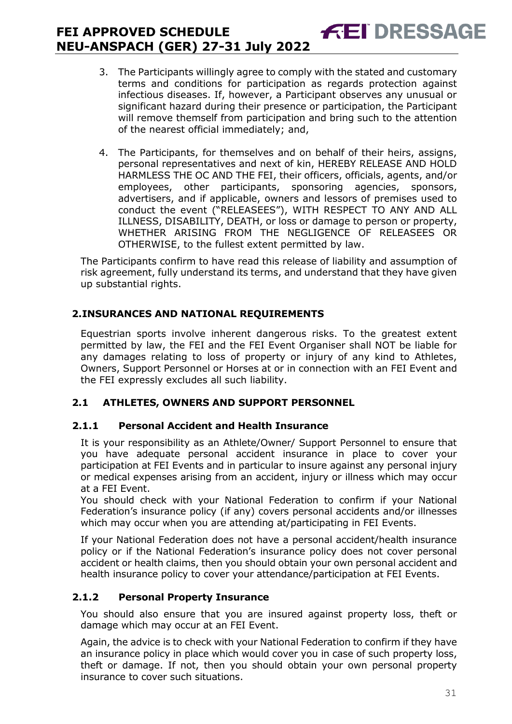3. The Participants willingly agree to comply with the stated and customary terms and conditions for participation as regards protection against infectious diseases. If, however, a Participant observes any unusual or significant hazard during their presence or participation, the Participant will remove themself from participation and bring such to the attention of the nearest official immediately; and,

**FEI DRESSAGE** 

4. The Participants, for themselves and on behalf of their heirs, assigns, personal representatives and next of kin, HEREBY RELEASE AND HOLD HARMLESS THE OC AND THE FEI, their officers, officials, agents, and/or employees, other participants, sponsoring agencies, sponsors, advertisers, and if applicable, owners and lessors of premises used to conduct the event ("RELEASEES"), WITH RESPECT TO ANY AND ALL ILLNESS, DISABILITY, DEATH, or loss or damage to person or property, WHETHER ARISING FROM THE NEGLIGENCE OF RELEASEES OR OTHERWISE, to the fullest extent permitted by law.

The Participants confirm to have read this release of liability and assumption of risk agreement, fully understand its terms, and understand that they have given up substantial rights.

#### <span id="page-31-0"></span>**2.INSURANCES AND NATIONAL REQUIREMENTS**

Equestrian sports involve inherent dangerous risks. To the greatest extent permitted by law, the FEI and the FEI Event Organiser shall NOT be liable for any damages relating to loss of property or injury of any kind to Athletes, Owners, Support Personnel or Horses at or in connection with an FEI Event and the FEI expressly excludes all such liability.

#### **2.1 ATHLETES, OWNERS AND SUPPORT PERSONNEL**

#### **2.1.1 Personal Accident and Health Insurance**

It is your responsibility as an Athlete/Owner/ Support Personnel to ensure that you have adequate personal accident insurance in place to cover your participation at FEI Events and in particular to insure against any personal injury or medical expenses arising from an accident, injury or illness which may occur at a FEI Event.

You should check with your National Federation to confirm if your National Federation's insurance policy (if any) covers personal accidents and/or illnesses which may occur when you are attending at/participating in FEI Events.

If your National Federation does not have a personal accident/health insurance policy or if the National Federation's insurance policy does not cover personal accident or health claims, then you should obtain your own personal accident and health insurance policy to cover your attendance/participation at FEI Events.

#### **2.1.2 Personal Property Insurance**

You should also ensure that you are insured against property loss, theft or damage which may occur at an FEI Event.

Again, the advice is to check with your National Federation to confirm if they have an insurance policy in place which would cover you in case of such property loss, theft or damage. If not, then you should obtain your own personal property insurance to cover such situations.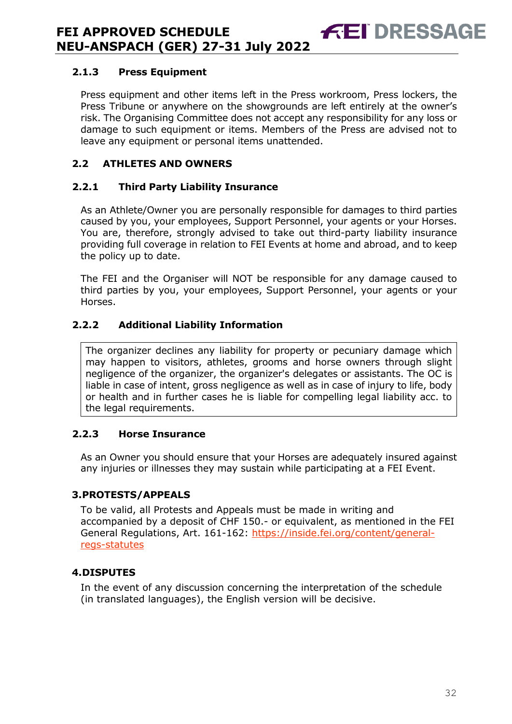#### **2.1.3 Press Equipment**

Press equipment and other items left in the Press workroom, Press lockers, the Press Tribune or anywhere on the showgrounds are left entirely at the owner's risk. The Organising Committee does not accept any responsibility for any loss or damage to such equipment or items. Members of the Press are advised not to leave any equipment or personal items unattended.

**FEI DRESSA** 

#### **2.2 ATHLETES AND OWNERS**

#### **2.2.1 Third Party Liability Insurance**

As an Athlete/Owner you are personally responsible for damages to third parties caused by you, your employees, Support Personnel, your agents or your Horses. You are, therefore, strongly advised to take out third-party liability insurance providing full coverage in relation to FEI Events at home and abroad, and to keep the policy up to date.

The FEI and the Organiser will NOT be responsible for any damage caused to third parties by you, your employees, Support Personnel, your agents or your Horses.

#### **2.2.2 Additional Liability Information**

The organizer declines any liability for property or pecuniary damage which may happen to visitors, athletes, grooms and horse owners through slight negligence of the organizer, the organizer's delegates or assistants. The OC is liable in case of intent, gross negligence as well as in case of injury to life, body or health and in further cases he is liable for compelling legal liability acc. to the legal requirements.

#### **2.2.3 Horse Insurance**

As an Owner you should ensure that your Horses are adequately insured against any injuries or illnesses they may sustain while participating at a FEI Event.

#### <span id="page-32-0"></span>**3.PROTESTS/APPEALS**

To be valid, all Protests and Appeals must be made in writing and accompanied by a deposit of CHF 150.- or equivalent, as mentioned in the FEI General Regulations, Art. 161-162: [https://inside.fei.org/content/general](https://inside.fei.org/content/general-regs-statutes)[regs-statutes](https://inside.fei.org/content/general-regs-statutes)

#### <span id="page-32-1"></span>**4.DISPUTES**

In the event of any discussion concerning the interpretation of the schedule (in translated languages), the English version will be decisive.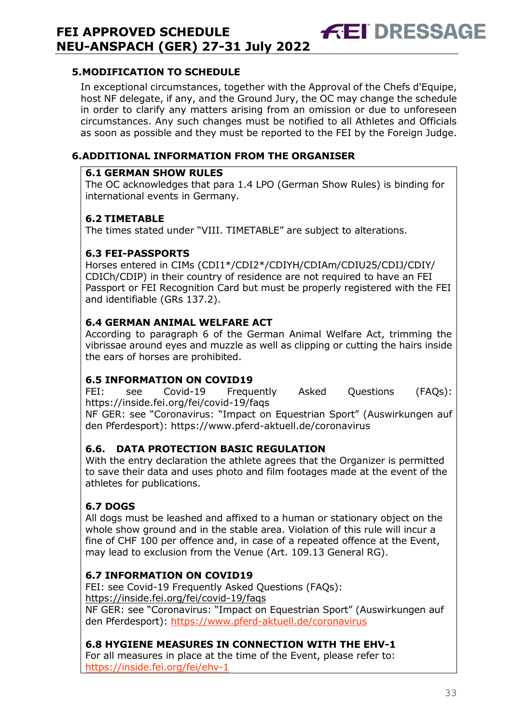#### <span id="page-33-0"></span>**5.MODIFICATION TO SCHEDULE**

In exceptional circumstances, together with the Approval of the Chefs d'Equipe, host NF delegate, if any, and the Ground Jury, the OC may change the schedule in order to clarify any matters arising from an omission or due to unforeseen circumstances. Any such changes must be notified to all Athletes and Officials as soon as possible and they must be reported to the FEI by the Foreign Judge.

**FEI DRESSAGE** 

#### <span id="page-33-1"></span>**6.ADDITIONAL INFORMATION FROM THE ORGANISER**

#### **6.1 GERMAN SHOW RULES**

The OC acknowledges that para 1.4 LPO (German Show Rules) is binding for international events in Germany.

#### **6.2 TIMETABLE**

The times stated under "VIII. TIMETABLE" are subject to alterations.

#### **6.3 FEI-PASSPORTS**

Horses entered in CIMs (CDI1\*/CDI2\*/CDIYH/CDIAm/CDIU25/CDIJ/CDIY/ CDICh/CDIP) in their country of residence are not required to have an FEI Passport or FEI Recognition Card but must be properly registered with the FEI and identifiable (GRs 137.2).

#### **6.4 GERMAN ANIMAL WELFARE ACT**

According to paragraph 6 of the German Animal Welfare Act, trimming the vibrissae around eyes and muzzle as well as clipping or cutting the hairs inside the ears of horses are prohibited.

#### **6.5 INFORMATION ON COVID19**

FEI: see Covid-19 Frequently Asked Questions (FAQs): <https://inside.fei.org/fei/covid-19/faqs>

NF GER: see "Coronavirus: "Impact on Equestrian Sport" (Auswirkungen auf den Pferdesport):<https://www.pferd-aktuell.de/coronavirus>

#### **6.6. DATA PROTECTION BASIC REGULATION**

With the entry declaration the athlete agrees that the Organizer is permitted to save their data and uses photo and film footages made at the event of the athletes for publications.

#### **6.7 DOGS**

All dogs must be leashed and affixed to a human or stationary object on the whole show ground and in the stable area. Violation of this rule will incur a fine of CHF 100 per offence and, in case of a repeated offence at the Event, may lead to exclusion from the Venue (Art. 109.13 General RG).

#### **6.7 INFORMATION ON COVID19**

FEI: see Covid-19 Frequently Asked Questions (FAQs): https://inside.fei.org/fei/covid-19/faqs NF GER: see "Coronavirus: "Impact on Equestrian Sport" (Auswirkungen auf den Pferdesport):<https://www.pferd-aktuell.de/coronavirus>

#### **6.8 HYGIENE MEASURES IN CONNECTION WITH THE EHV-1**

For all measures in place at the time of the Event, please refer to: <https://inside.fei.org/fei/ehv-1>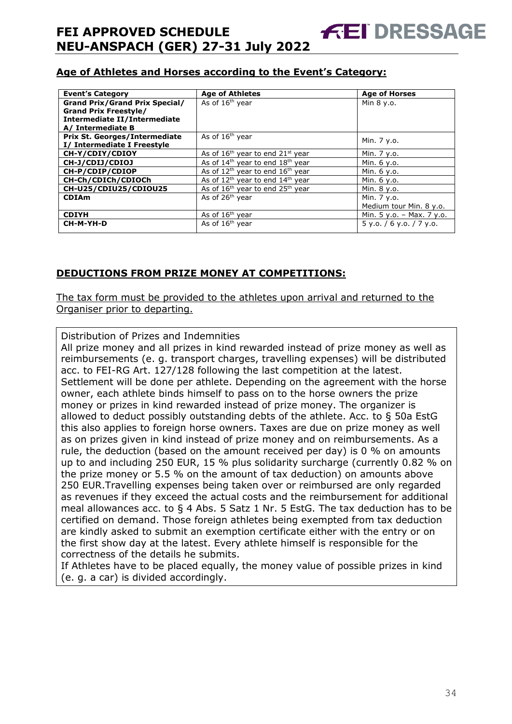#### **Age of Athletes and Horses according to the Event's Category:**

| <b>Event's Category</b>                                               | <b>Age of Athletes</b>                     | <b>Age of Horses</b>        |
|-----------------------------------------------------------------------|--------------------------------------------|-----------------------------|
| <b>Grand Prix/Grand Prix Special/</b><br><b>Grand Prix Freestyle/</b> | As of 16 <sup>th</sup> year                | Min 8 y.o.                  |
| Intermediate II/Intermediate                                          |                                            |                             |
| A/ Intermediate B<br><b>Prix St. Georges/Intermediate</b>             | As of 16 <sup>th</sup> year                |                             |
| I/ Intermediate I Freestyle                                           |                                            | Min. 7 y.o.                 |
| CH-Y/CDIY/CDIOY                                                       | As of $16th$ year to end $21st$ year       | Min. 7 y.o.                 |
| CH-J/CDIJ/CDIOJ                                                       | As of $14th$ year to end $18th$ year       | Min. 6 y.o.                 |
| CH-P/CDIP/CDIOP                                                       | As of $12^{th}$ year to end $16^{th}$ year | Min. 6 y.o.                 |
| CH-Ch/CDICh/CDIOCh                                                    | As of $12th$ year to end $14th$ year       | Min. 6 y.o.                 |
| CH-U25/CDIU25/CDIOU25                                                 | As of $16th$ year to end $25th$ year       | Min. 8 y.o.                 |
| <b>CDIAm</b>                                                          | As of 26 <sup>th</sup> year                | Min. 7 y.o.                 |
|                                                                       |                                            | Medium tour Min. 8 y.o.     |
| <b>CDIYH</b>                                                          | As of $16th$ year                          | Min. $5 y.o. - Max. 7 y.o.$ |
| CH-M-YH-D                                                             | As of 16 <sup>th</sup> year                | $5$ y.o. / 6 y.o. / 7 y.o.  |

#### **DEDUCTIONS FROM PRIZE MONEY AT COMPETITIONS:**

The tax form must be provided to the athletes upon arrival and returned to the Organiser prior to departing.

Distribution of Prizes and Indemnities

All prize money and all prizes in kind rewarded instead of prize money as well as reimbursements (e. g. transport charges, travelling expenses) will be distributed acc. to FEI-RG Art. 127/128 following the last competition at the latest. Settlement will be done per athlete. Depending on the agreement with the horse owner, each athlete binds himself to pass on to the horse owners the prize money or prizes in kind rewarded instead of prize money. The organizer is allowed to deduct possibly outstanding debts of the athlete. Acc. to § 50a EstG this also applies to foreign horse owners. Taxes are due on prize money as well as on prizes given in kind instead of prize money and on reimbursements. As a rule, the deduction (based on the amount received per day) is 0 % on amounts up to and including 250 EUR, 15 % plus solidarity surcharge (currently 0.82 % on the prize money or 5.5 % on the amount of tax deduction) on amounts above 250 EUR.Travelling expenses being taken over or reimbursed are only regarded as revenues if they exceed the actual costs and the reimbursement for additional meal allowances acc. to § 4 Abs. 5 Satz 1 Nr. 5 EstG. The tax deduction has to be certified on demand. Those foreign athletes being exempted from tax deduction are kindly asked to submit an exemption certificate either with the entry or on the first show day at the latest. Every athlete himself is responsible for the correctness of the details he submits.

If Athletes have to be placed equally, the money value of possible prizes in kind (e. g. a car) is divided accordingly.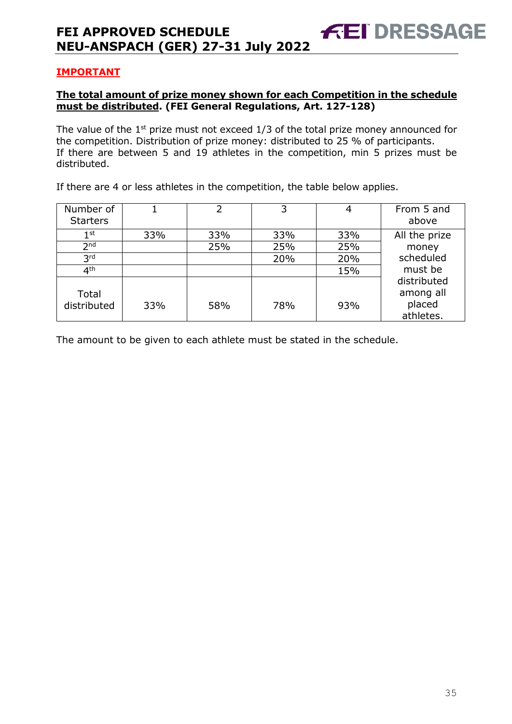#### **IMPORTANT**

#### **The total amount of prize money shown for each Competition in the schedule must be distributed. (FEI General Regulations, Art. 127-128)**

The value of the  $1<sup>st</sup>$  prize must not exceed  $1/3$  of the total prize money announced for the competition. Distribution of prize money: distributed to 25 % of participants. If there are between 5 and 19 athletes in the competition, min 5 prizes must be distributed.

If there are 4 or less athletes in the competition, the table below applies.

| Number of<br><b>Starters</b> |     | 2   | 3   | 4   | From 5 and<br>above                             |
|------------------------------|-----|-----|-----|-----|-------------------------------------------------|
| $1^{\rm st}$                 | 33% | 33% | 33% | 33% | All the prize                                   |
| 2 <sub>nd</sub>              |     | 25% | 25% | 25% | money                                           |
| 3 <sup>rd</sup>              |     |     | 20% | 20% | scheduled                                       |
| 4 <sup>th</sup>              |     |     |     | 15% | must be                                         |
| Total<br>distributed         | 33% | 58% | 78% | 93% | distributed<br>among all<br>placed<br>athletes. |

The amount to be given to each athlete must be stated in the schedule.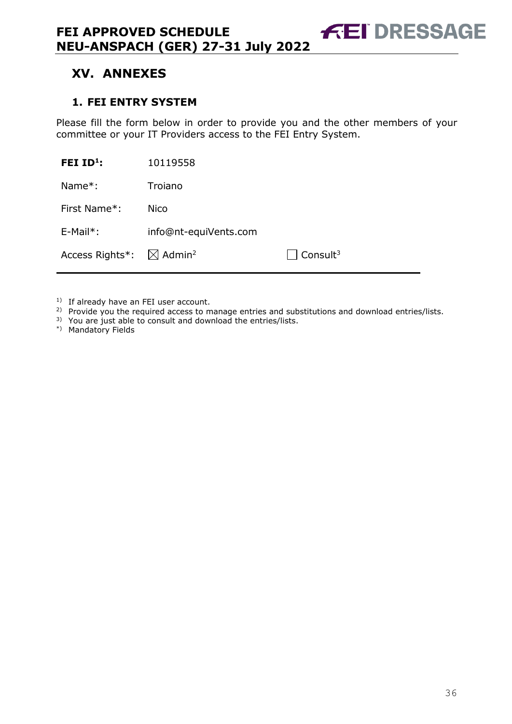# <span id="page-36-0"></span>**XV. ANNEXES**

#### <span id="page-36-1"></span>**1. FEI ENTRY SYSTEM**

Please fill the form below in order to provide you and the other members of your committee or your IT Providers access to the FEI Entry System.

**FEI DRESSAGE** 

| FEI ID <sup>1</sup> : | 10119558                       |                                 |
|-----------------------|--------------------------------|---------------------------------|
| Name $*$ :            | Troiano                        |                                 |
| First Name*:          | <b>Nico</b>                    |                                 |
| $E-Mail^*$ :          | info@nt-equiVents.com          |                                 |
| Access Rights*:       | $\boxtimes$ Admin <sup>2</sup> | $\sqrt{2}$ Consult <sup>3</sup> |

<sup>1)</sup> If already have an FEI user account.

- <sup>2)</sup> Provide you the required access to manage entries and substitutions and download entries/lists.
- 3) You are just able to consult and download the entries/lists.
- \*) Mandatory Fields